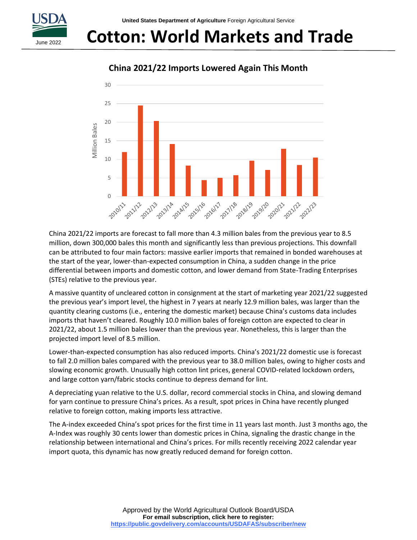

# **Cotton: World Markets and Trade**

30 25 20 **Villion Bales** Million Bales15 10 5 0 -2011/12 22 2123 14 2014/15 **Island** 2019/20 10 20121 21/21/22 33 21/14 16 2016/17 17 201/18 2018/19 2021/23

### **China 2021/22 Imports Lowered Again This Month**

China 2021/22 imports are forecast to fall more than 4.3 million bales from the previous year to 8.5 million, down 300,000 bales this month and significantly less than previous projections. This downfall can be attributed to four main factors: massive earlier imports that remained in bonded warehouses at the start of the year, lower-than-expected consumption in China, a sudden change in the price differential between imports and domestic cotton, and lower demand from State-Trading Enterprises (STEs) relative to the previous year.

A massive quantity of uncleared cotton in consignment at the start of marketing year 2021/22 suggested the previous year's import level, the highest in 7 years at nearly 12.9 million bales, was larger than the quantity clearing customs (i.e., entering the domestic market) because China's customs data includes imports that haven't cleared. Roughly 10.0 million bales of foreign cotton are expected to clear in 2021/22, about 1.5 million bales lower than the previous year. Nonetheless, this is larger than the projected import level of 8.5 million.

Lower-than-expected consumption has also reduced imports. China's 2021/22 domestic use is forecast to fall 2.0 million bales compared with the previous year to 38.0 million bales, owing to higher costs and slowing economic growth. Unusually high cotton lint prices, general COVID-related lockdown orders, and large cotton yarn/fabric stocks continue to depress demand for lint.

A depreciating yuan relative to the U.S. dollar, record commercial stocks in China, and slowing demand for yarn continue to pressure China's prices. As a result, spot prices in China have recently plunged relative to foreign cotton, making imports less attractive.

The A-index exceeded China's spot prices for the first time in 11 years last month. Just 3 months ago, the A-Index was roughly 30 cents lower than domestic prices in China, signaling the drastic change in the relationship between international and China's prices. For mills recently receiving 2022 calendar year import quota, this dynamic has now greatly reduced demand for foreign cotton.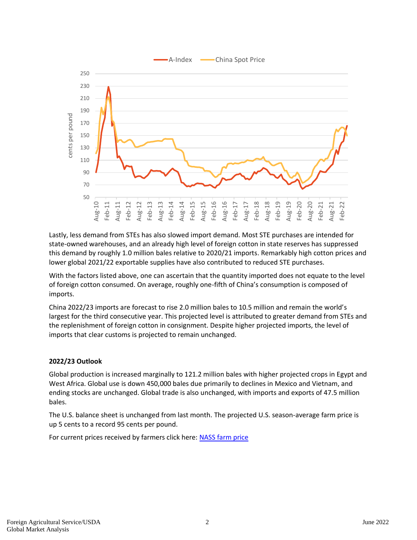

Lastly, less demand from STEs has also slowed import demand. Most STE purchases are intended for state-owned warehouses, and an already high level of foreign cotton in state reserves has suppressed this demand by roughly 1.0 million bales relative to 2020/21 imports. Remarkably high cotton prices and lower global 2021/22 exportable supplies have also contributed to reduced STE purchases.

With the factors listed above, one can ascertain that the quantity imported does not equate to the level of foreign cotton consumed. On average, roughly one-fifth of China's consumption is composed of imports.

China 2022/23 imports are forecast to rise 2.0 million bales to 10.5 million and remain the world's largest for the third consecutive year. This projected level is attributed to greater demand from STEs and the replenishment of foreign cotton in consignment. Despite higher projected imports, the level of imports that clear customs is projected to remain unchanged.

#### **2022/23 Outlook**

Global production is increased marginally to 121.2 million bales with higher projected crops in Egypt and West Africa. Global use is down 450,000 bales due primarily to declines in Mexico and Vietnam, and ending stocks are unchanged. Global trade is also unchanged, with imports and exports of 47.5 million bales.

The U.S. balance sheet is unchanged from last month. The projected U.S. season-average farm price is up 5 cents to a record 95 cents per pound.

For current prices received by farmers click here: [NASS farm price](https://usda.library.cornell.edu/concern/publications/c821gj76b?locale=en)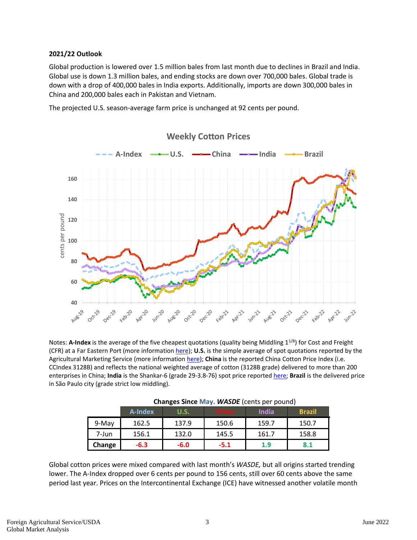#### **2021/22 Outlook**

Global production is lowered over 1.5 million bales from last month due to declines in Brazil and India. Global use is down 1.3 million bales, and ending stocks are down over 700,000 bales. Global trade is down with a drop of 400,000 bales in India exports. Additionally, imports are down 300,000 bales in China and 200,000 bales each in Pakistan and Vietnam.

The projected U.S. season-average farm price is unchanged at 92 cents per pound.



Notes: A-Index is the average of the five cheapest quotations (quality being Middling 1<sup>1/8</sup>) for Cost and Freight (CFR) at a Far Eastern Port (more information [here\)](https://www.cotlook.com/information-2/the-cotlook-indices-an-explanation/); U.S. is the simple average of spot quotations reported by the Agricultural Marketing Service (more information [here\)](https://www.ams.usda.gov/mnreports/mp_cn002.txt); China is the reported China Cotton Price Index (i.e. CCIndex 3128B) and reflects the national weighted average of cotton (3128B grade) delivered to more than 200 enterprises in China; **India** is the Shankar-6 (grade 29-3.8-76) spot price reported [here;](https://www.gujcot.com/daily-spot-rate-list.php) **Brazil** is the delivered price in São Paulo city (grade strict low middling).

|        | $\frac{1}{2}$ |        |              |              |               |  |  |  |  |  |  |  |
|--------|---------------|--------|--------------|--------------|---------------|--|--|--|--|--|--|--|
|        | A-Index       | U.S.   | <b>China</b> | <b>India</b> | <b>Brazil</b> |  |  |  |  |  |  |  |
| 9-May  | 162.5         | 137.9  | 150.6        | 159.7        | 150.7         |  |  |  |  |  |  |  |
| 7-Jun  | 156.1         | 132.0  | 145.5        | 161.7        | 158.8         |  |  |  |  |  |  |  |
| Change | $-6.3$        | $-6.0$ | $-5.1$       | 1.9          | 8.1           |  |  |  |  |  |  |  |

| Changes Since May. WASDE (cents per pound) |  |  |  |
|--------------------------------------------|--|--|--|
|--------------------------------------------|--|--|--|

Global cotton prices were mixed compared with last month's *WASDE,* but all origins started trending lower. The A-Index dropped over 6 cents per pound to 156 cents, still over 60 cents above the same period last year. Prices on the Intercontinental Exchange (ICE) have witnessed another volatile month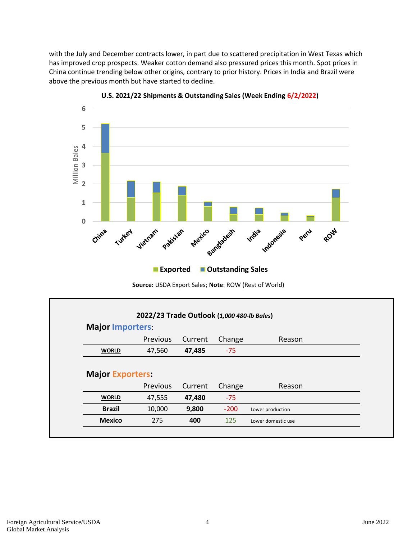with the July and December contracts lower, in part due to scattered precipitation in West Texas which has improved crop prospects. Weaker cotton demand also pressured prices this month. Spot prices in China continue trending below other origins, contrary to prior history. Prices in India and Brazil were above the previous month but have started to decline.



**U.S. 2021/22 Shipments & Outstanding Sales (Week Ending 6/2/2022)**

**Source:** USDA Export Sales; **Note**: ROW (Rest of World)

| 2022/23 Trade Outlook (1,000 480-lb Bales) |          |         |        |                  |  |  |  |  |  |
|--------------------------------------------|----------|---------|--------|------------------|--|--|--|--|--|
| <b>Major Importers:</b>                    |          |         |        |                  |  |  |  |  |  |
|                                            | Previous | Current | Change | Reason           |  |  |  |  |  |
| <b>WORLD</b>                               | 47,560   | 47,485  | $-75$  |                  |  |  |  |  |  |
|                                            |          |         |        |                  |  |  |  |  |  |
| <b>Major Exporters:</b>                    | Previous | Current | Change | Reason           |  |  |  |  |  |
| <b>WORLD</b>                               | 47,555   | 47,480  | $-75$  |                  |  |  |  |  |  |
| <b>Brazil</b>                              | 10,000   | 9,800   | $-200$ | Lower production |  |  |  |  |  |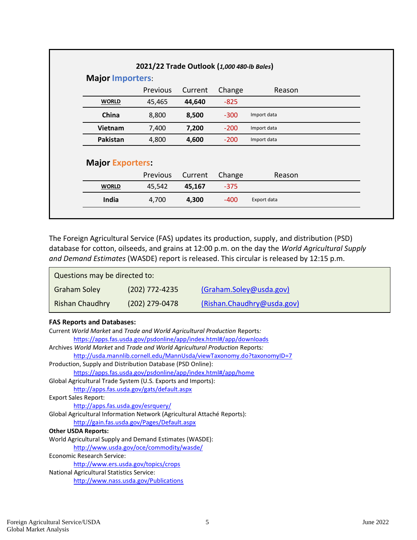| <b>Major Importers:</b> |          |         |        |             |  |  |  |  |  |
|-------------------------|----------|---------|--------|-------------|--|--|--|--|--|
|                         |          |         |        |             |  |  |  |  |  |
|                         | Previous | Current | Change | Reason      |  |  |  |  |  |
| <b>WORLD</b>            | 45,465   | 44,640  | $-825$ |             |  |  |  |  |  |
| China                   | 8,800    | 8,500   | $-300$ | Import data |  |  |  |  |  |
| <b>Vietnam</b>          | 7,400    | 7,200   | $-200$ | Import data |  |  |  |  |  |
| Pakistan                | 4,800    | 4,600   | $-200$ | Import data |  |  |  |  |  |
| <b>Major Exporters:</b> |          |         |        |             |  |  |  |  |  |
|                         | Previous | Current | Change | Reason      |  |  |  |  |  |
| <b>WORLD</b>            | 45,542   | 45,167  | $-375$ |             |  |  |  |  |  |
| India                   | 4,700    | 4,300   | $-400$ | Export data |  |  |  |  |  |

The Foreign Agricultural Service (FAS) updates its production, supply, and distribution (PSD) database for cotton, oilseeds, and grains at 12:00 p.m. on the day the *World Agricultural Supply and Demand Estimates* (WASDE) report is released. This circular is released by 12:15 p.m.

| Questions may be directed to: |                  |                            |  |  |  |  |  |  |
|-------------------------------|------------------|----------------------------|--|--|--|--|--|--|
| Graham Soley                  | $(202)$ 772-4235 | (Graham.Soley@usda.gov)    |  |  |  |  |  |  |
| <b>Rishan Chaudhry</b>        | (202) 279-0478   | (Rishan.Chaudhry@usda.gov) |  |  |  |  |  |  |

#### **FAS Reports and Databases:**

| Current World Market and Trade and World Agricultural Production Reports:  |
|----------------------------------------------------------------------------|
| https://apps.fas.usda.gov/psdonline/app/index.html#/app/downloads          |
| Archives World Market and Trade and World Agricultural Production Reports: |
| http://usda.mannlib.cornell.edu/MannUsda/viewTaxonomy.do?taxonomyID=7      |
| Production, Supply and Distribution Database (PSD Online):                 |
| https://apps.fas.usda.gov/psdonline/app/index.html#/app/home               |
| Global Agricultural Trade System (U.S. Exports and Imports):               |
| http://apps.fas.usda.gov/gats/default.aspx                                 |
| <b>Export Sales Report:</b>                                                |
| http://apps.fas.usda.gov/esrquery/                                         |
| Global Agricultural Information Network (Agricultural Attaché Reports):    |
| http://gain.fas.usda.gov/Pages/Default.aspx                                |
| <b>Other USDA Reports:</b>                                                 |
| World Agricultural Supply and Demand Estimates (WASDE):                    |
| http://www.usda.gov/oce/commodity/wasde/                                   |
| Economic Research Service:                                                 |
| http://www.ers.usda.gov/topics/crops                                       |
| <b>National Agricultural Statistics Service:</b>                           |
| http://www.nass.usda.gov/Publications                                      |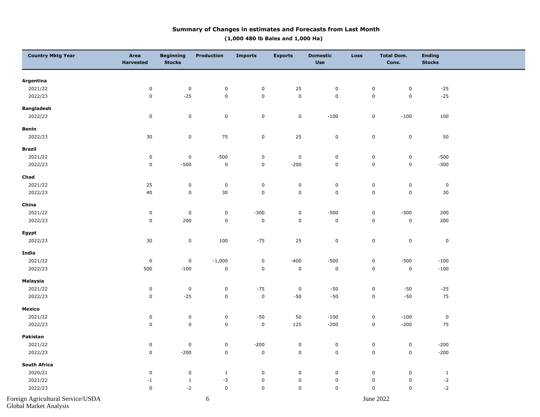#### **Summary of Changes in estimates and Forecasts from Last Month (1,000 480 lb Bales and 1,000 Ha)**

| <b>Country Mktg Year</b>          | Area<br><b>Harvested</b> | <b>Beginning</b><br><b>Stocks</b> | Production   | <b>Imports</b> | <b>Exports</b>      | <b>Domestic</b><br><b>Use</b> | <b>Loss</b> | <b>Total Dom.</b><br>Cons. | <b>Ending</b><br><b>Stocks</b> |  |
|-----------------------------------|--------------------------|-----------------------------------|--------------|----------------|---------------------|-------------------------------|-------------|----------------------------|--------------------------------|--|
| Argentina                         |                          |                                   |              |                |                     |                               |             |                            |                                |  |
| 2021/22                           | $\pmb{0}$                | $\mathsf 0$                       | 0            | $\pmb{0}$      | 25                  | 0                             | 0           | 0                          | $-25$                          |  |
| 2022/23                           | $\pmb{0}$                | $-25$                             | $\pmb{0}$    | $\pmb{0}$      | $\mathbf 0$         | $\pmb{0}$                     | $\pmb{0}$   | $\mathbf 0$                | $-25$                          |  |
| <b>Bangladesh</b>                 |                          |                                   |              |                |                     |                               |             |                            |                                |  |
| 2022/23                           | $\pmb{0}$                | $\pmb{0}$                         | $\pmb{0}$    | $\mathbf 0$    | $\mathbf 0$         | $-100$                        | $\pmb{0}$   | $-100$                     | $100\,$                        |  |
| Benin                             |                          |                                   |              |                |                     |                               |             |                            |                                |  |
| 2022/23                           | 30                       | $\mathbf 0$                       | 75           | $\mathbf 0$    | 25                  | $\pmb{0}$                     | $\mathbf 0$ | $\mathbf 0$                | 50                             |  |
| <b>Brazil</b>                     |                          |                                   |              |                |                     |                               |             |                            |                                |  |
| 2021/22                           | $\pmb{0}$                | $\pmb{0}$                         | $-500$       | $\pmb{0}$      | $\mathbf 0$         | $\pmb{0}$                     | $\pmb{0}$   | $\mathbf 0$                | $-500$                         |  |
| 2022/23                           | $\pmb{0}$                | $-500$                            | $\pmb{0}$    | $\mathbf 0$    | $-200$              | $\pmb{0}$                     | $\mathbf 0$ | $\mathbf 0$                | $-300$                         |  |
| Chad                              |                          |                                   |              |                |                     |                               |             |                            |                                |  |
| 2021/22                           | 25                       | $\pmb{0}$                         | $\pmb{0}$    | $\mathbf 0$    | $\mathsf 0$         | $\pmb{0}$                     | $\mathsf 0$ | $\mathbf 0$                | $\mathbf 0$                    |  |
| 2022/23                           | 40                       | $\pmb{0}$                         | $30\,$       | $\pmb{0}$      | $\mathsf{O}\xspace$ | $\pmb{0}$                     | $\mathbf 0$ | $\pmb{0}$                  | 30                             |  |
| China                             |                          |                                   |              |                |                     |                               |             |                            |                                |  |
| 2021/22                           | $\pmb{0}$                | $\pmb{0}$                         | $\pmb{0}$    | $-300$         | $\mathbf 0$         | $-500$                        | $\pmb{0}$   | $-500$                     | 200                            |  |
| 2022/23                           | $\pmb{0}$                | 200                               | $\pmb{0}$    | $\pmb{0}$      | $\mathbf 0$         | $\pmb{0}$                     | $\pmb{0}$   | $\pmb{0}$                  | 200                            |  |
| Egypt                             |                          |                                   |              |                |                     |                               |             |                            |                                |  |
| 2022/23                           | 30                       | $\mathsf 0$                       | 100          | $-75$          | 25                  | $\pmb{0}$                     | $\pmb{0}$   | $\mathsf 0$                | $\pmb{0}$                      |  |
| India                             |                          |                                   |              |                |                     |                               |             |                            |                                |  |
| 2021/22                           | $\pmb{0}$                | $\pmb{0}$                         | $-1,000$     | $\pmb{0}$      | $-400$              | $-500$                        | $\pmb{0}$   | $-500$                     | $-100$                         |  |
| 2022/23                           | 500                      | $-100$                            | $\pmb{0}$    | $\mathbf 0$    | $\pmb{0}$           | $\pmb{0}$                     | $\pmb{0}$   | $\mathbf 0$                | $-100$                         |  |
| Malaysia                          |                          |                                   |              |                |                     |                               |             |                            |                                |  |
| 2021/22                           | $\pmb{0}$                | $\pmb{0}$                         | $\pmb{0}$    | $-75$          | $\pmb{0}$           | $-50\,$                       | $\mathsf 0$ | $\textnormal{-}50$         | $-25$                          |  |
| 2022/23                           | $\pmb{0}$                | $-25$                             | $\pmb{0}$    | $\pmb{0}$      | $\textnormal{-}50$  | $-50$                         | $\pmb{0}$   | $-50$                      | 75                             |  |
| Mexico                            |                          |                                   |              |                |                     |                               |             |                            |                                |  |
| 2021/22                           | $\pmb{0}$                | $\mathsf 0$                       | $\mathsf 0$  | $-50$          | $50\,$              | $-100$                        | $\mathsf 0$ | $-100$                     | $\pmb{0}$                      |  |
| 2022/23                           | $\pmb{0}$                | $\mathsf 0$                       | $\pmb{0}$    | $\pmb{0}$      | 125                 | $-200$                        | $\mathbf 0$ | $-200$                     | 75                             |  |
| Pakistan                          |                          |                                   |              |                |                     |                               |             |                            |                                |  |
| 2021/22                           | $\pmb{0}$                | $\pmb{0}$                         | $\pmb{0}$    | $-200$         | $\mathbf 0$         | $\pmb{0}$                     | $\pmb{0}$   | $\pmb{0}$                  | $-200$                         |  |
| 2022/23                           | $\pmb{0}$                | $-200$                            | $\pmb{0}$    | $\pmb{0}$      | $\mathbf 0$         | $\pmb{0}$                     | $\pmb{0}$   | $\pmb{0}$                  | $-200$                         |  |
| South Africa                      |                          |                                   |              |                |                     |                               |             |                            |                                |  |
| 2020/21                           | $\mathsf 0$              | $\pmb{0}$                         | $\mathbf{1}$ | $\pmb{0}$      | $\mathbf 0$         | $\mathbf 0$                   | $\pmb{0}$   | $\mathsf 0$                | $\mathbf{1}$                   |  |
| 2021/22                           | $^{\rm -1}$              | $\mathbf{1}$                      | $-3$         | $\pmb{0}$      | $\mathsf 0$         | $\pmb{0}$                     | $\mathsf 0$ | $\mathbf 0$                | $-2$                           |  |
| 2022/23                           | $\pmb{0}$                | $-2$                              | $\pmb{0}$    | $\pmb{0}$      | $\mathsf 0$         | $\pmb{0}$                     | $\pmb{0}$   | 0                          | $-2$                           |  |
| Foreign Agricultural Service/USDA |                          |                                   | $\sqrt{6}$   |                |                     |                               |             | June 2022                  |                                |  |

Global Market Analysis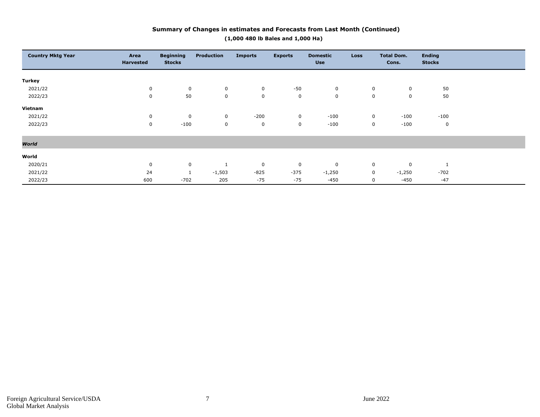#### **Country Mktg Year Area Area Harvested Beginning Stocks Production Imports Exports Domestic Use Loss Total Dom. Cons. Ending Stocks Turkey** 2021/22 0 0 0 0 -50 0 0 0 50 2022/23 0 50 0 0 0 0 0 0 50 **Vietnam** 2021/22 0 0 0 -200 0 -100 0 -100 -100 2022/23 0 -100 0 0 0 -100 0 -100 0 *World* **World** 2020/21 0 0 1 0 0 0 0 0 1 2021/22 24 1 -1,503 -825 -375 -1,250 0 -1,250 -702 2022/23 600 -702 205 -75 -75 -450 0 -450 -47

#### **Summary of Changes in estimates and Forecasts from Last Month (Continued) (1,000 480 lb Bales and 1,000 Ha)**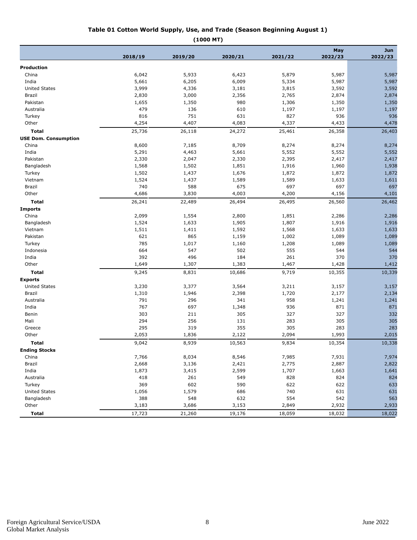#### **Table 01 Cotton World Supply, Use, and Trade (Season Beginning August 1)**

| . . |           |  |
|-----|-----------|--|
|     | (1000 MT) |  |

|                             |         |         |         |         | May     | <b>Jun</b> |
|-----------------------------|---------|---------|---------|---------|---------|------------|
|                             | 2018/19 | 2019/20 | 2020/21 | 2021/22 | 2022/23 | 2022/23    |
| <b>Production</b>           |         |         |         |         |         |            |
| China                       | 6,042   | 5,933   | 6,423   | 5,879   | 5,987   | 5,987      |
| India                       | 5,661   | 6,205   | 6,009   | 5,334   | 5,987   | 5,987      |
| <b>United States</b>        | 3,999   | 4,336   | 3,181   | 3,815   | 3,592   | 3,592      |
| Brazil                      | 2,830   | 3,000   | 2,356   | 2,765   | 2,874   | 2,874      |
| Pakistan                    | 1,655   | 1,350   | 980     | 1,306   | 1,350   | 1,350      |
| Australia                   | 479     | 136     | 610     | 1,197   | 1,197   | 1,197      |
| Turkey                      | 816     | 751     | 631     | 827     | 936     | 936        |
| Other                       | 4,254   | 4,407   | 4,083   | 4,337   | 4,433   | 4,478      |
| <b>Total</b>                | 25,736  | 26,118  | 24,272  | 25,461  | 26,358  | 26,403     |
| <b>USE Dom. Consumption</b> |         |         |         |         |         |            |
| China                       | 8,600   | 7,185   | 8,709   | 8,274   | 8,274   | 8,274      |
| India                       | 5,291   | 4,463   | 5,661   | 5,552   | 5,552   | 5,552      |
| Pakistan                    | 2,330   | 2,047   | 2,330   | 2,395   | 2,417   | 2,417      |
| Bangladesh                  | 1,568   | 1,502   | 1,851   | 1,916   | 1,960   | 1,938      |
| Turkey                      | 1,502   | 1,437   | 1,676   | 1,872   | 1,872   | 1,872      |
| Vietnam                     | 1,524   | 1,437   | 1,589   | 1,589   | 1,633   | 1,611      |
| Brazil                      | 740     | 588     | 675     | 697     | 697     | 697        |
| Other                       | 4,686   | 3,830   | 4,003   | 4,200   | 4,156   | 4,101      |
| Total                       | 26,241  | 22,489  | 26,494  | 26,495  | 26,560  | 26,462     |
| <b>Imports</b>              |         |         |         |         |         |            |
| China                       | 2,099   | 1,554   | 2,800   | 1,851   | 2,286   | 2,286      |
| Bangladesh                  | 1,524   | 1,633   | 1,905   | 1,807   | 1,916   | 1,916      |
| Vietnam                     | 1,511   | 1,411   | 1,592   | 1,568   | 1,633   | 1,633      |
| Pakistan                    | 621     | 865     | 1,159   | 1,002   | 1,089   | 1,089      |
| Turkey                      | 785     | 1,017   | 1,160   | 1,208   | 1,089   | 1,089      |
| Indonesia                   | 664     | 547     | 502     | 555     | 544     | 544        |
| India                       | 392     | 496     | 184     | 261     | 370     | 370        |
| Other                       | 1,649   | 1,307   | 1,383   | 1,467   | 1,428   | 1,412      |
| <b>Total</b>                | 9,245   | 8,831   | 10,686  | 9,719   | 10,355  | 10,339     |
| <b>Exports</b>              |         |         |         |         |         |            |
| <b>United States</b>        | 3,230   | 3,377   | 3,564   | 3,211   | 3,157   | 3,157      |
| Brazil                      | 1,310   | 1,946   | 2,398   | 1,720   | 2,177   | 2,134      |
| Australia                   | 791     | 296     | 341     | 958     | 1,241   | 1,241      |
| India                       | 767     | 697     | 1,348   | 936     | 871     | 871        |
| Benin                       | 303     | 211     | 305     | 327     | 327     | 332        |
| Mali                        | 294     | 256     | 131     | 283     | 305     | 305        |
| Greece                      | 295     | 319     | 355     | 305     | 283     | 283        |
| Other                       | 2,053   | 1,836   | 2,122   | 2,094   | 1,993   | 2,015      |
| Total                       | 9,042   | 8,939   | 10,563  | 9,834   | 10,354  | 10,338     |
| <b>Ending Stocks</b>        |         |         |         |         |         |            |
| China                       | 7,766   | 8,034   | 8,546   | 7,985   | 7,931   | 7,974      |
| Brazil                      | 2,668   | 3,136   | 2,421   | 2,775   | 2,887   | 2,822      |
| India                       | 1,873   | 3,415   | 2,599   | 1,707   | 1,663   | 1,641      |
| Australia                   | 418     | 261     | 549     | 828     | 824     | 824        |
| Turkey                      | 369     | 602     | 590     | 622     | 622     | 633        |
| <b>United States</b>        | 1,056   | 1,579   | 686     | 740     | 631     | 631        |
| Bangladesh                  | 388     | 548     | 632     | 554     | 542     | 563        |
| Other                       | 3,183   | 3,686   | 3,153   | 2,849   | 2,932   | 2,933      |
| <b>Total</b>                | 17,723  | 21,260  | 19,176  | 18,059  | 18,032  | 18,022     |
|                             |         |         |         |         |         |            |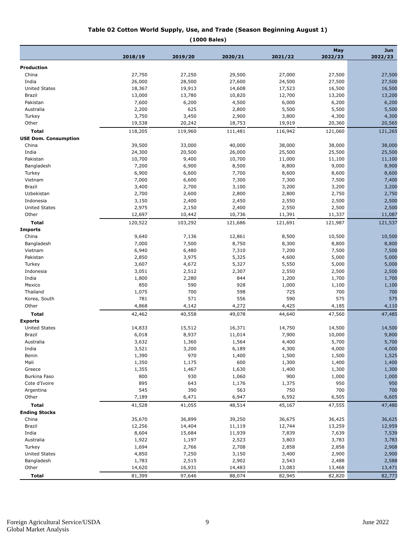#### **Table 02 Cotton World Supply, Use, and Trade (Season Beginning August 1)**

**(1000 Bales)**

|                             |              |              |            |                | May     | Jun            |
|-----------------------------|--------------|--------------|------------|----------------|---------|----------------|
|                             | 2018/19      | 2019/20      | 2020/21    | 2021/22        | 2022/23 | 2022/23        |
| Production                  |              |              |            |                |         |                |
| China                       | 27,750       | 27,250       | 29,500     | 27,000         | 27,500  | 27,500         |
| India                       | 26,000       | 28,500       | 27,600     | 24,500         | 27,500  | 27,500         |
| <b>United States</b>        | 18,367       | 19,913       | 14,608     | 17,523         | 16,500  | 16,500         |
| Brazil                      | 13,000       | 13,780       | 10,820     | 12,700         | 13,200  | 13,200         |
| Pakistan                    | 7,600        | 6,200        | 4,500      | 6,000          | 6,200   | 6,200          |
| Australia                   | 2,200        | 625          | 2,800      | 5,500          | 5,500   | 5,500          |
| Turkey                      | 3,750        | 3,450        | 2,900      | 3,800          | 4,300   | 4,300          |
| Other                       | 19,538       | 20,242       | 18,753     | 19,919         | 20,360  | 20,565         |
| <b>Total</b>                | 118,205      | 119,960      | 111,481    | 116,942        | 121,060 | 121,265        |
| <b>USE Dom. Consumption</b> |              |              |            |                |         |                |
| China                       | 39,500       | 33,000       | 40,000     | 38,000         | 38,000  | 38,000         |
| India                       | 24,300       | 20,500       | 26,000     | 25,500         | 25,500  | 25,500         |
| Pakistan                    | 10,700       | 9,400        | 10,700     | 11,000         | 11,100  | 11,100         |
| Bangladesh                  | 7,200        | 6,900        | 8,500      | 8,800          | 9,000   | 8,900          |
| Turkey                      | 6,900        | 6,600        | 7,700      | 8,600          | 8,600   | 8,600          |
| Vietnam                     | 7,000        | 6,600        | 7,300      | 7,300          | 7,500   | 7,400          |
| <b>Brazil</b>               | 3,400        | 2,700        | 3,100      | 3,200          | 3,200   | 3,200          |
| Uzbekistan                  | 2,700        | 2,600        | 2,800      | 2,800          | 2,750   | 2,750          |
| Indonesia                   | 3,150        | 2,400        | 2,450      | 2,550          | 2,500   | 2,500          |
| <b>United States</b>        | 2,975        | 2,150        | 2,400      | 2,550          | 2,500   | 2,500          |
| Other                       | 12,697       | 10,442       | 10,736     | 11,391         | 11,337  | 11,087         |
| <b>Total</b>                | 120,522      | 103,292      | 121,686    |                |         | 121,537        |
| <b>Imports</b>              |              |              |            | 121,691        | 121,987 |                |
| China                       | 9,640        | 7,136        | 12,861     | 8,500          | 10,500  | 10,500         |
| Bangladesh                  | 7,000        | 7,500        | 8,750      | 8,300          | 8,800   | 8,800          |
| Vietnam                     | 6,940        | 6,480        | 7,310      | 7,200          | 7,500   | 7,500          |
| Pakistan                    | 2,850        | 3,975        | 5,325      | 4,600          |         | 5,000          |
| Turkey                      | 3,607        | 4,672        | 5,327      | 5,550          | 5,000   | 5,000          |
|                             | 3,051        | 2,512        | 2,307      |                | 5,000   | 2,500          |
| Indonesia                   |              |              |            | 2,550          | 2,500   |                |
| India                       | 1,800<br>850 | 2,280<br>590 | 844<br>928 | 1,200<br>1,000 | 1,700   | 1,700<br>1,100 |
| Mexico                      |              | 700          |            |                | 1,100   |                |
| Thailand                    | 1,075        |              | 598        | 725            | 700     | 700            |
| Korea, South                | 781          | 571          | 556        | 590            | 575     | 575            |
| Other                       | 4,868        | 4,142        | 4,272      | 4,425          | 4,185   | 4,110          |
| <b>Total</b>                | 42,462       | 40,558       | 49,078     | 44,640         | 47,560  | 47,485         |
| <b>Exports</b>              |              |              |            |                |         |                |
| <b>United States</b>        | 14,833       | 15,512       | 16,371     | 14,750         | 14,500  | 14,500         |
| <b>Brazil</b>               | 6,018        | 8,937        | 11,014     | 7,900          | 10,000  | 9,800          |
| Australia                   | 3,632        | 1,360        | 1,564      | 4,400          | 5,700   | 5,700          |
| India                       | 3,521        | 3,200        | 6,189      | 4,300          | 4,000   | 4,000          |
| Benin                       | 1,390        | 970          | 1,400      | 1,500          | 1,500   | 1,525          |
| Mali                        | 1,350        | 1,175        | 600        | 1,300          | 1,400   | 1,400          |
| Greece                      | 1,355        | 1,467        | 1,630      | 1,400          | 1,300   | 1,300          |
| Burkina Faso                | 800          | 930          | 1,060      | 900            | 1,000   | 1,000          |
| Cote d'Ivoire               | 895          | 643          | 1,176      | 1,375          | 950     | 950            |
| Argentina                   | 545          | 390          | 563        | 750            | 700     | 700            |
| Other                       | 7,189        | 6,471        | 6,947      | 6,592          | 6,505   | 6,605          |
| <b>Total</b>                | 41,528       | 41,055       | 48,514     | 45,167         | 47,555  | 47,480         |
| <b>Ending Stocks</b>        |              |              |            |                |         |                |
| China                       | 35,670       | 36,899       | 39,250     | 36,675         | 36,425  | 36,625         |
| Brazil                      | 12,256       | 14,404       | 11,119     | 12,744         | 13,259  | 12,959         |
| India                       | 8,604        | 15,684       | 11,939     | 7,839          | 7,639   | 7,539          |
| Australia                   | 1,922        | 1,197        | 2,523      | 3,803          | 3,783   | 3,783          |
| Turkey                      | 1,694        | 2,766        | 2,708      | 2,858          | 2,858   | 2,908          |
| United States               | 4,850        | 7,250        | 3,150      | 3,400          | 2,900   | 2,900          |
| Bangladesh                  | 1,783        | 2,515        | 2,902      | 2,543          | 2,488   | 2,588          |
| Other                       | 14,620       | 16,931       | 14,483     | 13,083         | 13,468  | 13,471         |
| <b>Total</b>                | 81,399       | 97,646       | 88,074     | 82,945         | 82,820  | 82,773         |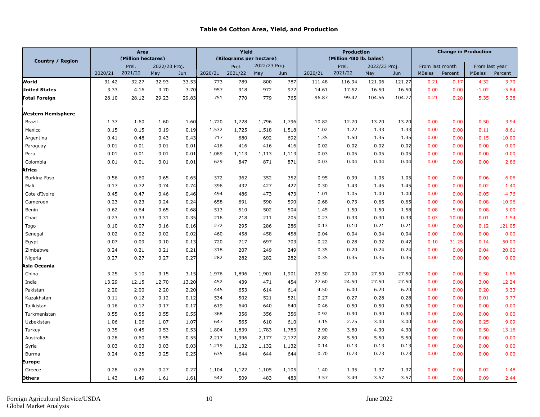#### **Table 04 Cotton Area, Yield, and Production**

|                           |         | Yield<br>(Kilograms per hectare) |               |       |         | <b>Production</b> |               |       | <b>Change in Production</b> |                         |               |        |                 |         |                |          |
|---------------------------|---------|----------------------------------|---------------|-------|---------|-------------------|---------------|-------|-----------------------------|-------------------------|---------------|--------|-----------------|---------|----------------|----------|
| Country / Region          |         | (Million hectares)               |               |       |         |                   |               |       |                             | (Million 480 lb. bales) |               |        |                 |         |                |          |
|                           |         | Prel.<br>2021/22                 | 2022/23 Proj. |       | 2020/21 | Prel.             | 2022/23 Proj. |       |                             | Prel.<br>2021/22        | 2022/23 Proj. |        | From last month |         | From last year |          |
|                           | 2020/21 |                                  | May           | Jun   |         | 2021/22           | May           | Jun   | 2020/21                     |                         | May           | Jun    | <b>MBales</b>   | Percent | <b>MBales</b>  | Percent  |
| World                     | 31.42   | 32.27                            | 32.93         | 33.53 | 773     | 789               | 800           | 787   | 111.48                      | 116.94                  | 121.06        | 121.27 | 0.21            | 0.17    | 4.32           | 3.70     |
| <b>United States</b>      | 3.33    | 4.16                             | 3.70          | 3.70  | 957     | 918               | 972           | 972   | 14.61                       | 17.52                   | 16.50         | 16.50  | 0.00            | 0.00    | $-1.02$        | $-5.84$  |
| Total Foreign             | 28.10   | 28.12                            | 29.23         | 29.83 | 751     | 770               | 779           | 765   | 96.87                       | 99.42                   | 104.56        | 104.77 | 0.21            | 0.20    | 5.35           | 5.38     |
| <b>Western Hemisphere</b> |         |                                  |               |       |         |                   |               |       |                             |                         |               |        |                 |         |                |          |
| Brazil                    | 1.37    | 1.60                             | 1.60          | 1.60  | 1,720   | 1,728             | 1,796         | 1,796 | 10.82                       | 12.70                   | 13.20         | 13.20  | 0.00            | 0.00    | 0.50           | 3.94     |
| Mexico                    | 0.15    | 0.15                             | 0.19          | 0.19  | 1,532   | 1,725             | 1,518         | 1,518 | 1.02                        | 1.22                    | 1.33          | 1.33   | 0.00            | 0.00    | 0.11           | 8.61     |
| Argentina                 | 0.41    | 0.48                             | 0.43          | 0.43  | 717     | 680               | 692           | 692   | 1.35                        | 1.50                    | 1.35          | 1.35   | 0.00            | 0.00    | $-0.15$        | $-10.00$ |
| Paraguay                  | 0.01    | 0.01                             | 0.01          | 0.01  | 416     | 416               | 416           | 416   | 0.02                        | 0.02                    | 0.02          | 0.02   | 0.00            | 0.00    | 0.00           | 0.00     |
| Peru                      | 0.01    | 0.01                             | 0.01          | 0.01  | 1,089   | 1,113             | 1,113         | 1,113 | 0.03                        | 0.05                    | 0.05          | 0.05   | 0.00            | 0.00    | 0.00           | 0.00     |
| Colombia                  | 0.01    | 0.01                             | 0.01          | 0.01  | 629     | 847               | 871           | 871   | 0.03                        | 0.04                    | 0.04          | 0.04   | 0.00            | 0.00    | 0.00           | 2.86     |
| Africa                    |         |                                  |               |       |         |                   |               |       |                             |                         |               |        |                 |         |                |          |
| Burkina Faso              | 0.56    | 0.60                             | 0.65          | 0.65  | 372     | 362               | 352           | 352   | 0.95                        | 0.99                    | 1.05          | 1.05   | 0.00            | 0.00    | 0.06           | 6.06     |
| Mali                      | 0.17    | 0.72                             | 0.74          | 0.74  | 396     | 432               | 427           | 427   | 0.30                        | 1.43                    | 1.45          | 1.45   | 0.00            | 0.00    | 0.02           | 1.40     |
| Cote d'Ivoire             | 0.45    | 0.47                             | 0.46          | 0.46  | 494     | 486               | 473           | 473   | 1.01                        | 1.05                    | 1.00          | 1.00   | 0.00            | 0.00    | $-0.05$        | $-4.76$  |
| Cameroon                  | 0.23    | 0.23                             | 0.24          | 0.24  | 658     | 691               | 590           | 590   | 0.68                        | 0.73                    | 0.65          | 0.65   | 0.00            | 0.00    | $-0.08$        | $-10.96$ |
| Benin                     | 0.62    | 0.64                             | 0.65          | 0.68  | 513     | 510               | 502           | 504   | 1.45                        | 1.50                    | 1.50          | 1.58   | 0.08            | 5.00    | 0.08           | 5.00     |
| Chad                      | 0.23    | 0.33                             | 0.31          | 0.35  | 216     | 218               | 211           | 205   | 0.23                        | 0.33                    | 0.30          | 0.33   | 0.03            | 10.00   | 0.01           | 1.54     |
| Togo                      | 0.10    | 0.07                             | 0.16          | 0.16  | 272     | 295               | 286           | 286   | 0.13                        | 0.10                    | 0.21          | 0.21   | 0.00            | 0.00    | 0.12           | 121.05   |
| Senegal                   | 0.02    | 0.02                             | 0.02          | 0.02  | 460     | 458               | 458           | 458   | 0.04                        | 0.04                    | 0.04          | 0.04   | 0.00            | 0.00    | 0.00           | 0.00     |
| Egypt                     | 0.07    | 0.09                             | 0.10          | 0.13  | 720     | 717               | 697           | 703   | 0.22                        | 0.28                    | 0.32          | 0.42   | 0.10            | 31.25   | 0.14           | 50.00    |
| Zimbabwe                  | 0.24    | 0.21                             | 0.21          | 0.21  | 318     | 207               | 249           | 249   | 0.35                        | 0.20                    | 0.24          | 0.24   | 0.00            | 0.00    | 0.04           | 20.00    |
| Nigeria                   | 0.27    | 0.27                             | 0.27          | 0.27  | 282     | 282               | 282           | 282   | 0.35                        | 0.35                    | 0.35          | 0.35   | 0.00            | 0.00    | 0.00           | 0.00     |
| Asia Oceania              |         |                                  |               |       |         |                   |               |       |                             |                         |               |        |                 |         |                |          |
| China                     | 3.25    | 3.10                             | 3.15          | 3.15  | 1,976   | 1,896             | 1,901         | 1,901 | 29.50                       | 27.00                   | 27.50         | 27.50  | 0.00            | 0.00    | 0.50           | 1.85     |
| India                     | 13.29   | 12.15                            | 12.70         | 13.20 | 452     | 439               | 471           | 454   | 27.60                       | 24.50                   | 27.50         | 27.50  | 0.00            | 0.00    | 3.00           | 12.24    |
| Pakistan                  | 2.20    | 2.00                             | 2.20          | 2.20  | 445     | 653               | 614           | 614   | 4.50                        | 6.00                    | 6.20          | 6.20   | 0.00            | 0.00    | 0.20           | 3.33     |
| Kazakhstan                | 0.11    | 0.12                             | 0.12          | 0.12  | 534     | 502               | 521           | 521   | 0.27                        | 0.27                    | 0.28          | 0.28   | 0.00            | 0.00    | 0.01           | 3.77     |
| Tajikistan                | 0.16    | 0.17                             | 0.17          | 0.17  | 619     | 640               | 640           | 640   | 0.46                        | 0.50                    | 0.50          | 0.50   | 0.00            | 0.00    | 0.00           | 0.00     |
| Turkmenistan              | 0.55    | 0.55                             | 0.55          | 0.55  | 368     | 356               | 356           | 356   | 0.92                        | 0.90                    | 0.90          | 0.90   | 0.00            | 0.00    | 0.00           | 0.00     |
| Uzbekistan                | 1.06    | 1.06                             | 1.07          | 1.07  | 647     | 565               | 610           | 610   | 3.15                        | 2.75                    | 3.00          | 3.00   | 0.00            | 0.00    | 0.25           | 9.09     |
| Turkey                    | 0.35    | 0.45                             | 0.53          | 0.53  | 1,804   | 1,839             | 1,783         | 1,783 | 2.90                        | 3.80                    | 4.30          | 4.30   | 0.00            | 0.00    | 0.50           | 13.16    |
| Australia                 | 0.28    | 0.60                             | 0.55          | 0.55  | 2,217   | 1,996             | 2,177         | 2,177 | 2.80                        | 5.50                    | 5.50          | 5.50   | 0.00            | 0.00    | 0.00           | 0.00     |
| Syria                     | 0.03    | 0.03                             | 0.03          | 0.03  | 1,219   | 1,132             | 1,132         | 1,132 | 0.14                        | 0.13                    | 0.13          | 0.13   | 0.00            | 0.00    | 0.00           | 0.00     |
| Burma                     | 0.24    | 0.25                             | 0.25          | 0.25  | 635     | 644               | 644           | 644   | 0.70                        | 0.73                    | 0.73          | 0.73   | 0.00            | 0.00    | 0.00           | 0.00     |
| Europe                    |         |                                  |               |       |         |                   |               |       |                             |                         |               |        |                 |         |                |          |
| Greece                    | 0.28    | 0.26                             | 0.27          | 0.27  | 1,104   | 1,122             | 1,105         | 1,105 | 1.40                        | 1.35                    | 1.37          | 1.37   | 0.00            | 0.00    | 0.02           | 1.48     |
| <b>Others</b>             | 1.43    | 1.49                             | 1.61          | 1.61  | 542     | 509               | 483           | 483   | 3.57                        | 3.49                    | 3.57          | 3.57   | 0.00            | 0.00    | 0.09           | 2.44     |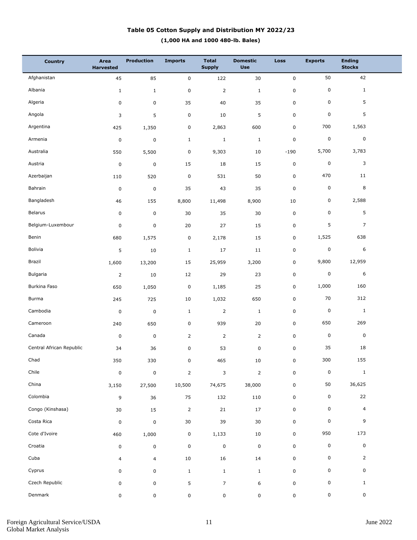### **(1,000 HA and 1000 480-lb. Bales) Table 05 Cotton Supply and Distribution MY 2022/23**

| <b>Country</b>           | Area<br><b>Harvested</b> | <b>Production</b> | <b>Imports</b> | <b>Total</b><br><b>Supply</b> | <b>Domestic</b><br><b>Use</b> | <b>Loss</b> | <b>Exports</b> | <b>Ending</b><br><b>Stocks</b> |  |
|--------------------------|--------------------------|-------------------|----------------|-------------------------------|-------------------------------|-------------|----------------|--------------------------------|--|
| Afghanistan              | 45                       | 85                | $\pmb{0}$      | 122                           | 30                            | $\pmb{0}$   | 50             | 42                             |  |
| Albania                  | $\mathbf 1$              | $\mathbf{1}$      | 0              | $\overline{2}$                | $\,1\,$                       | $\pmb{0}$   | 0              | $\mathbf{1}$                   |  |
| Algeria                  | 0                        | 0                 | 35             | 40                            | 35                            | $\pmb{0}$   | 0              | 5                              |  |
| Angola                   | 3                        | 5                 | $\pmb{0}$      | 10                            | 5                             | $\mathbf 0$ | 0              | 5                              |  |
| Argentina                | 425                      | 1,350             | 0              | 2,863                         | 600                           | $\pmb{0}$   | 700            | 1,563                          |  |
| Armenia                  | $\pmb{0}$                | 0                 | $\mathbf{1}$   | $\mathbf{1}$                  | $\mathbf{1}$                  | $\mathsf 0$ | $\pmb{0}$      | 0                              |  |
| Australia                | 550                      | 5,500             | 0              | 9,303                         | 10                            | $-190$      | 5,700          | 3,783                          |  |
| Austria                  | $\pmb{0}$                | 0                 | 15             | 18                            | 15                            | $\pmb{0}$   | $\pmb{0}$      | 3                              |  |
| Azerbaijan               | 110                      | 520               | 0              | 531                           | 50                            | $\pmb{0}$   | 470            | 11                             |  |
| Bahrain                  | 0                        | $\mathsf 0$       | 35             | 43                            | 35                            | $\pmb{0}$   | $\pmb{0}$      | 8                              |  |
| Bangladesh               | 46                       | 155               | 8,800          | 11,498                        | 8,900                         | 10          | 0              | 2,588                          |  |
| Belarus                  | 0                        | 0                 | 30             | 35                            | 30                            | $\pmb{0}$   | 0              | 5                              |  |
| Belgium-Luxembour        | 0                        | 0                 | 20             | 27                            | 15                            | $\pmb{0}$   | 5              | $\overline{7}$                 |  |
| Benin                    | 680                      | 1,575             | 0              | 2,178                         | 15                            | 0           | 1,525          | 638                            |  |
| Bolivia                  | 5                        | $10\,$            | $\mathbf{1}$   | 17                            | 11                            | $\pmb{0}$   | $\pmb{0}$      | 6                              |  |
| Brazil                   | 1,600                    | 13,200            | 15             | 25,959                        | 3,200                         | 0           | 9,800          | 12,959                         |  |
| Bulgaria                 | $\overline{2}$           | $10\,$            | 12             | 29                            | 23                            | $\pmb{0}$   | $\pmb{0}$      | 6                              |  |
| Burkina Faso             | 650                      | 1,050             | 0              | 1,185                         | 25                            | 0           | 1,000          | 160                            |  |
| Burma                    | 245                      | 725               | 10             | 1,032                         | 650                           | $\pmb{0}$   | 70             | 312                            |  |
| Cambodia                 | $\pmb{0}$                | $\mathsf 0$       | $\mathbf{1}$   | $\overline{2}$                | $\mathbf{1}$                  | $\pmb{0}$   | $\pmb{0}$      | $\mathbf{1}$                   |  |
| Cameroon                 | 240                      | 650               | 0              | 939                           | 20                            | $\pmb{0}$   | 650            | 269                            |  |
| Canada                   | $\pmb{0}$                | $\mathsf 0$       | $\overline{2}$ | $\overline{2}$                | $\overline{2}$                | $\pmb{0}$   | $\pmb{0}$      | 0                              |  |
| Central African Republic | 34                       | 36                | 0              | 53                            | 0                             | $\pmb{0}$   | 35             | 18                             |  |
| Chad                     | 350                      | 330               | $\mathbf 0$    | 465                           | $10\,$                        | $\mathsf 0$ | 300            | 155                            |  |
| Chile                    | 0                        | $\pmb{0}$         | $\overline{2}$ | 3                             | $\overline{2}$                | $\pmb{0}$   | $\pmb{0}$      | $\mathbf{1}$                   |  |
| China                    | 3,150                    | 27,500            | 10,500         | 74,675                        | 38,000                        | $\pmb{0}$   | $50\,$         | 36,625                         |  |
| Colombia                 | 9                        | 36                | 75             | 132                           | 110                           | $\pmb{0}$   | 0              | 22                             |  |
| Congo (Kinshasa)         | $30\,$                   | 15                | $\overline{2}$ | 21                            | 17                            | $\pmb{0}$   | 0              | $\overline{4}$                 |  |
| Costa Rica               | $\pmb{0}$                | $\pmb{0}$         | 30             | 39                            | 30                            | $\pmb{0}$   | 0              | 9                              |  |
| Cote d'Ivoire            | 460                      | 1,000             | 0              | 1,133                         | 10                            | $\pmb{0}$   | 950            | 173                            |  |
| Croatia                  | 0                        | 0                 | 0              | $\pmb{0}$                     | $\mathsf 0$                   | $\pmb{0}$   | 0              | 0                              |  |
| Cuba                     | 4                        | $\overline{4}$    | $10\,$         | 16                            | 14                            | $\pmb{0}$   | 0              | $\overline{2}$                 |  |
| Cyprus                   | 0                        | 0                 | $\mathbf{1}$   | $\mathbf{1}$                  | $\mathbf{1}$                  | $\pmb{0}$   | 0              | 0                              |  |
| Czech Republic           | 0                        | 0                 | 5              | $\overline{7}$                | 6                             | $\mathsf 0$ | 0              | $\mathbf{1}$                   |  |
| Denmark                  | 0                        | 0                 | 0              | $\pmb{0}$                     | 0                             | $\mathsf 0$ | 0              | 0                              |  |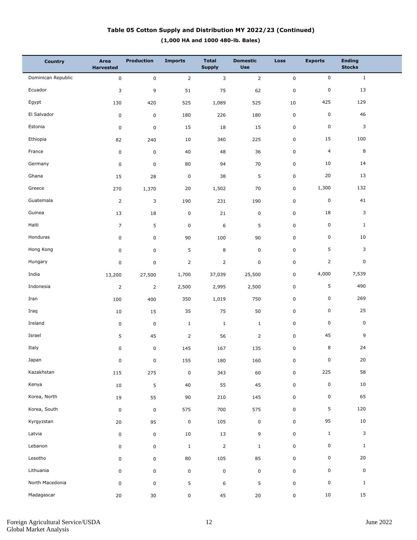### **(1,000 HA and 1000 480-lb. Bales) Table 05 Cotton Supply and Distribution MY 2022/23 (Continued)**

| <b>Country</b>     | Area<br><b>Harvested</b> | <b>Production</b>   | <b>Imports</b> | <b>Total</b><br><b>Supply</b> | <b>Domestic</b><br><b>Use</b> | Loss         | <b>Exports</b> | <b>Ending</b><br><b>Stocks</b> |  |
|--------------------|--------------------------|---------------------|----------------|-------------------------------|-------------------------------|--------------|----------------|--------------------------------|--|
| Dominican Republic | $\mathbf 0$              | $\mathsf 0$         | $\overline{2}$ | 3                             | $\overline{2}$                | $\mathsf{O}$ | 0              | $\mathbf{1}$                   |  |
| Ecuador            | 3                        | 9                   | 51             | 75                            | 62                            | $\pmb{0}$    | 0              | 13                             |  |
| Egypt              | 130                      | 420                 | 525            | 1,089                         | 525                           | 10           | 425            | 129                            |  |
| El Salvador        | $\pmb{0}$                | $\mathbf 0$         | 180            | 226                           | 180                           | $\mathbf 0$  | 0              | 46                             |  |
| Estonia            | $\pmb{0}$                | $\mathsf 0$         | 15             | 18                            | 15                            | $\pmb{0}$    | 0              | 3                              |  |
| Ethiopia           | 82                       | 240                 | 10             | 340                           | 225                           | 0            | 15             | 100                            |  |
| France             | $\pmb{0}$                | $\mathsf{O}\xspace$ | 40             | 48                            | 36                            | $\pmb{0}$    | $\overline{4}$ | 8                              |  |
| Germany            | 0                        | $\mathbf 0$         | 80             | 94                            | 70                            | 0            | 10             | 14                             |  |
| Ghana              | 15                       | 28                  | $\pmb{0}$      | 38                            | 5                             | $\pmb{0}$    | 20             | 13                             |  |
| Greece             | 270                      | 1,370               | 20             | 1,502                         | 70                            | 0            | 1,300          | 132                            |  |
| Guatemala          | $\mathsf{2}\,$           | 3                   | 190            | 231                           | 190                           | $\pmb{0}$    | 0              | 41                             |  |
| Guinea             | 13                       | 18                  | $\pmb{0}$      | 21                            | $\pmb{0}$                     | 0            | 18             | 3                              |  |
| Haiti              | $\overline{7}$           | 5                   | $\pmb{0}$      | 6                             | 5                             | $\pmb{0}$    | 0              | $\mathbf{1}$                   |  |
| Honduras           | 0                        | 0                   | 90             | 100                           | 90                            | 0            | 0              | 10                             |  |
| Hong Kong          | 0                        | 0                   | 5              | 8                             | $\pmb{0}$                     | 0            | 5              | 3                              |  |
| Hungary            | 0                        | 0                   | $\overline{2}$ | $\overline{2}$                | $\pmb{0}$                     | 0            | $\overline{2}$ | 0                              |  |
| India              | 13,200                   | 27,500              | 1,700          | 37,039                        | 25,500                        | 0            | 4,000          | 7,539                          |  |
| Indonesia          | $\overline{2}$           | $\overline{2}$      | 2,500          | 2,995                         | 2,500                         | 0            | 5              | 490                            |  |
| Iran               | 100                      | 400                 | 350            | 1,019                         | 750                           | $\pmb{0}$    | 0              | 269                            |  |
| Iraq               | 10                       | 15                  | 35             | 75                            | 50                            | 0            | 0              | 25                             |  |
| Ireland            | 0                        | $\mathbf 0$         | $\mathbf{1}$   | $\mathbf{1}$                  | $\mathbf{1}$                  | 0            | 0              | 0                              |  |
| Israel             | 5                        | 45                  | $\overline{2}$ | 56                            | $\overline{2}$                | 0            | 45             | 9                              |  |
| Italy              | 0                        | $\pmb{0}$           | 145            | 167                           | 135                           | $\pmb{0}$    | 8              | 24                             |  |
| Japan              | $\mathbf 0$              | $\pmb{0}$           | 155            | 180                           | 160                           | $\mathbf 0$  | $\mathbf 0$    | 20                             |  |
| Kazakhstan         | 115                      | 275                 | $\pmb{0}$      | 343                           | 60                            | $\mathbf 0$  | 225            | 58                             |  |
| Kenya              | $10\,$                   | 5                   | $40\,$         | 55                            | 45                            | $\mathsf 0$  | $\pmb{0}$      | 10                             |  |
| Korea, North       | 19                       | 55                  | 90             | 210                           | 145                           | $\mathsf 0$  | 0              | 65                             |  |
| Korea, South       | $\pmb{0}$                | $\mathsf{O}\xspace$ | 575            | 700                           | 575                           | $\mathsf 0$  | 5              | 120                            |  |
| Kyrgyzstan         | 20                       | 95                  | $\pmb{0}$      | 105                           | $\pmb{0}$                     | $\mathbf 0$  | 95             | 10                             |  |
| Latvia             | $\pmb{0}$                | $\mathsf{O}\xspace$ | 10             | 13                            | 9                             | $\mathsf 0$  | $\mathbf{1}$   | $\mathbf{3}$                   |  |
| Lebanon            | 0                        | $\mathsf{O}\xspace$ | $\mathbf{1}$   | $\mathbf 2$                   | $\mathbf{1}$                  | $\mathsf 0$  | 0              | $\mathbf{1}$                   |  |
| Lesotho            | 0                        | $\mathsf 0$         | 80             | 105                           | 85                            | $\mathsf 0$  | 0              | 20                             |  |
| Lithuania          | 0                        | 0                   | $\pmb{0}$      | $\pmb{0}$                     | $\pmb{0}$                     | $\pmb{0}$    | 0              | 0                              |  |
| North Macedonia    | 0                        | 0                   | 5              | 6                             | 5                             | $\pmb{0}$    | 0              | $\mathbf{1}$                   |  |
| Madagascar         | $20\,$                   | 30                  | 0              | 45                            | $20\,$                        | 0            | $10\,$         | 15                             |  |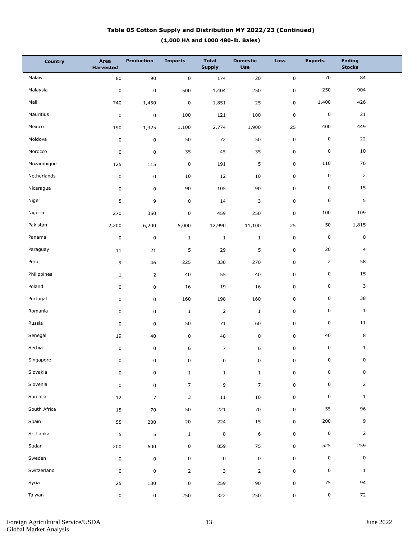### **(1,000 HA and 1000 480-lb. Bales) Table 05 Cotton Supply and Distribution MY 2022/23 (Continued)**

| <b>Country</b> | Area<br><b>Harvested</b> | <b>Production</b> | <b>Imports</b> | <b>Total</b><br><b>Supply</b> | <b>Domestic</b><br><b>Use</b> | <b>Loss</b> | <b>Exports</b> | <b>Ending</b><br><b>Stocks</b> |  |
|----------------|--------------------------|-------------------|----------------|-------------------------------|-------------------------------|-------------|----------------|--------------------------------|--|
| Malawi         | 80                       | 90                | $\pmb{0}$      | 174                           | 20                            | $\pmb{0}$   | 70             | 84                             |  |
| Malaysia       | $\pmb{0}$                | $\mathbf 0$       | 500            | 1,404                         | 250                           | $\pmb{0}$   | 250            | 904                            |  |
| Mali           | 740                      | 1,450             | 0              | 1,851                         | 25                            | $\mathsf 0$ | 1,400          | 426                            |  |
| Mauritius      | $\pmb{0}$                | 0                 | 100            | 121                           | 100                           | $\mathbf 0$ | $\pmb{0}$      | 21                             |  |
| Mexico         | 190                      | 1,325             | 1,100          | 2,774                         | 1,900                         | 25          | 400            | 449                            |  |
| Moldova        | 0                        | $\mathbf 0$       | 50             | 72                            | 50                            | $\mathsf 0$ | 0              | 22                             |  |
| Morocco        | $\pmb{0}$                | $\mathbf 0$       | 35             | 45                            | 35                            | $\mathsf 0$ | $\pmb{0}$      | 10                             |  |
| Mozambique     | 125                      | 115               | 0              | 191                           | 5                             | $\mathbf 0$ | 110            | 76                             |  |
| Netherlands    | 0                        | $\mathsf 0$       | 10             | 12                            | 10                            | $\mathsf 0$ | $\pmb{0}$      | $\overline{2}$                 |  |
| Nicaragua      | 0                        | 0                 | 90             | 105                           | 90                            | $\mathbf 0$ | 0              | 15                             |  |
| Niger          | 5                        | 9                 | 0              | 14                            | 3                             | $\pmb{0}$   | 6              | 5                              |  |
| Nigeria        | 270                      | 350               | 0              | 459                           | 250                           | 0           | 100            | 109                            |  |
| Pakistan       | 2,200                    | 6,200             | 5,000          | 12,990                        | 11,100                        | 25          | 50             | 1,815                          |  |
| Panama         | 0                        | $\mathsf 0$       | $\mathbf{1}$   | $\mathbf{1}$                  | $\mathbf{1}$                  | $\mathsf 0$ | $\pmb{0}$      | 0                              |  |
| Paraguay       | 11                       | 21                | 5              | 29                            | 5                             | $\pmb{0}$   | 20             | $\overline{4}$                 |  |
| Peru           | 9                        | 46                | 225            | 330                           | 270                           | 0           | $\overline{2}$ | 58                             |  |
| Philippines    | $\mathbf{1}$             | $\overline{2}$    | 40             | 55                            | 40                            | $\mathsf 0$ | 0              | 15                             |  |
| Poland         | 0                        | 0                 | 16             | 19                            | 16                            | 0           | 0              | 3                              |  |
| Portugal       | 0                        | 0                 | 160            | 198                           | 160                           | $\mathsf 0$ | 0              | 38                             |  |
| Romania        | 0                        | 0                 | $\mathbf{1}$   | $\overline{2}$                | $\mathbf{1}$                  | 0           | 0              | $\mathbf{1}$                   |  |
| Russia         | 0                        | 0                 | 50             | 71                            | 60                            | $\mathsf 0$ | 0              | $11\,$                         |  |
| Senegal        | 19                       | 40                | 0              | 48                            | $\mathsf 0$                   | 0           | 40             | 8                              |  |
| Serbia         | 0                        | $\pmb{0}$         | 6              | $\overline{7}$                | 6                             | $\pmb{0}$   | 0              | $\mathbf{1}$                   |  |
| Singapore      | $\mathbf 0$              | 0                 | 0              | $\pmb{0}$                     | 0                             | $\pmb{0}$   | $\mathbf 0$    | $\mathbf 0$                    |  |
| Slovakia       | 0                        | 0                 | $\mathbf{1}$   | $\mathbf{1}$                  | $\mathbf{1}$                  | $\mathsf 0$ | $\pmb{0}$      | 0                              |  |
| Slovenia       | $\pmb{0}$                | $\mathbf 0$       | $\overline{7}$ | 9                             | $\overline{7}$                | $\pmb{0}$   | $\pmb{0}$      | $\overline{2}$                 |  |
| Somalia        | 12                       | $\overline{7}$    | 3              | $11\,$                        | $10\,$                        | $\mathsf 0$ | $\pmb{0}$      | $\mathbf{1}$                   |  |
| South Africa   | 15                       | 70                | 50             | 221                           | 70                            | $\pmb{0}$   | 55             | 96                             |  |
| Spain          | 55                       | 200               | 20             | 224                           | 15                            | $\mathbf 0$ | 200            | 9                              |  |
| Sri Lanka      | 5                        | 5                 | $\mathbf{1}$   | $\,8\,$                       | $\,$ 6 $\,$                   | $\pmb{0}$   | $\pmb{0}$      | $\overline{2}$                 |  |
| Sudan          | 200                      | 600               | 0              | 859                           | 75                            | $\mathbf 0$ | 525            | 259                            |  |
| Sweden         | $\pmb{0}$                | $\mathbf 0$       | 0              | $\mathbf 0$                   | $\pmb{0}$                     | $\pmb{0}$   | $\pmb{0}$      | $\pmb{0}$                      |  |
| Switzerland    | $\pmb{0}$                | 0                 | $\overline{2}$ | 3                             | $\overline{2}$                | $\pmb{0}$   | $\pmb{0}$      | $\mathbf{1}$                   |  |
| Syria          | 25                       | 130               | 0              | 259                           | $90\,$                        | $\pmb{0}$   | 75             | 94                             |  |
| Taiwan         | 0                        | $\mathbf 0$       | 250            | 322                           | 250                           | 0           | 0              | 72                             |  |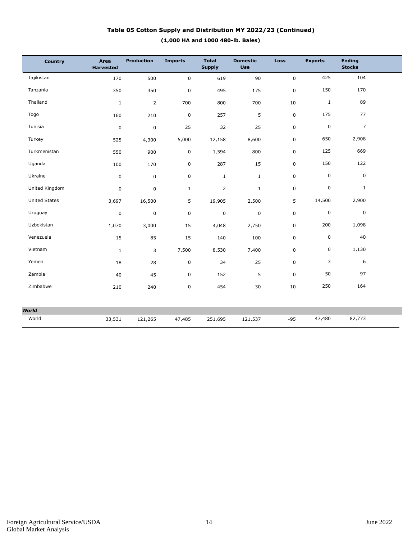### **(1,000 HA and 1000 480-lb. Bales) Table 05 Cotton Supply and Distribution MY 2022/23 (Continued)**

| Country              | Area<br><b>Harvested</b> | <b>Production</b> | <b>Imports</b> | <b>Total</b><br><b>Supply</b> | <b>Domestic</b><br><b>Use</b> | <b>Loss</b> | <b>Exports</b> | <b>Ending</b><br><b>Stocks</b> |  |
|----------------------|--------------------------|-------------------|----------------|-------------------------------|-------------------------------|-------------|----------------|--------------------------------|--|
| Tajikistan           | 170                      | 500               | $\mathbf 0$    | 619                           | 90                            | 0           | 425            | 104                            |  |
| Tanzania             | 350                      | 350               | $\pmb{0}$      | 495                           | 175                           | 0           | 150            | 170                            |  |
| Thailand             | $\mathbf{1}$             | $\overline{2}$    | 700            | 800                           | 700                           | 10          | $1\,$          | 89                             |  |
| Togo                 | 160                      | 210               | $\mathbf 0$    | 257                           | 5                             | 0           | 175            | 77                             |  |
| Tunisia              | $\boldsymbol{0}$         | $\pmb{0}$         | 25             | 32                            | 25                            | 0           | $\pmb{0}$      | $\overline{7}$                 |  |
| Turkey               | 525                      | 4,300             | 5,000          | 12,158                        | 8,600                         | 0           | 650            | 2,908                          |  |
| Turkmenistan         | 550                      | 900               | 0              | 1,594                         | 800                           | 0           | 125            | 669                            |  |
| Uganda               | 100                      | 170               | $\pmb{0}$      | 287                           | 15                            | 0           | 150            | 122                            |  |
| Ukraine              | $\mathbf 0$              | $\mathbf 0$       | $\mathsf 0$    | $\mathbf{1}$                  | $\mathbf{1}$                  | 0           | $\pmb{0}$      | $\mathbf 0$                    |  |
| United Kingdom       | $\pmb{0}$                | $\mathbf 0$       | $\mathbf 1$    | $\overline{2}$                | $\mathbf{1}$                  | 0           | 0              | $\mathbf{1}$                   |  |
| <b>United States</b> | 3,697                    | 16,500            | 5              | 19,905                        | 2,500                         | 5           | 14,500         | 2,900                          |  |
| Uruguay              | $\pmb{0}$                | $\mathbf 0$       | $\mathbf 0$    | 0                             | $\mathbf 0$                   | 0           | $\pmb{0}$      | $\mathbf 0$                    |  |
| Uzbekistan           | 1,070                    | 3,000             | 15             | 4,048                         | 2,750                         | 0           | 200            | 1,098                          |  |
| Venezuela            | 15                       | 85                | 15             | 140                           | 100                           | 0           | $\pmb{0}$      | 40                             |  |
| Vietnam              | $\mathbf{1}$             | 3                 | 7,500          | 8,530                         | 7,400                         | 0           | 0              | 1,130                          |  |
| Yemen                | 18                       | 28                | $\pmb{0}$      | 34                            | 25                            | 0           | 3              | 6                              |  |
| Zambia               | 40                       | 45                | $\pmb{0}$      | 152                           | 5                             | 0           | 50             | 97                             |  |
| Zimbabwe             | 210                      | 240               | $\pmb{0}$      | 454                           | 30                            | 10          | 250            | 164                            |  |
|                      |                          |                   |                |                               |                               |             |                |                                |  |
| <b>World</b>         |                          |                   |                |                               |                               |             |                |                                |  |
| World                | 33,531                   | 121,265           | 47,485         | 251,695                       | 121,537                       | $-95$       | 47,480         | 82,773                         |  |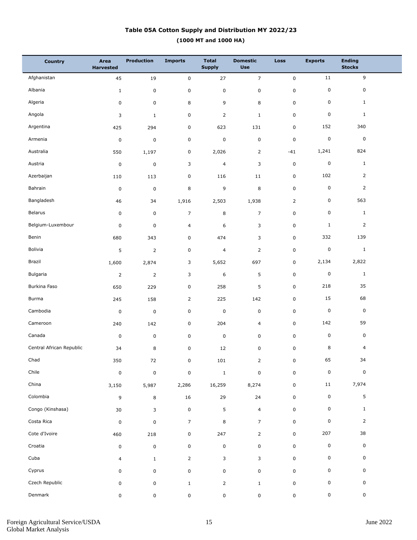## **(1000 MT and 1000 HA) Table 05A Cotton Supply and Distribution MY 2022/23**

| <b>Country</b>           | Area<br><b>Harvested</b> | <b>Production</b> | <b>Imports</b> | <b>Total</b><br><b>Supply</b> | <b>Domestic</b><br><b>Use</b> | Loss           | <b>Exports</b> | <b>Ending</b><br><b>Stocks</b> |  |
|--------------------------|--------------------------|-------------------|----------------|-------------------------------|-------------------------------|----------------|----------------|--------------------------------|--|
| Afghanistan              | 45                       | 19                | $\pmb{0}$      | 27                            | $\overline{7}$                | $\pmb{0}$      | 11             | $\overline{9}$                 |  |
| Albania                  | $1\,$                    | $\pmb{0}$         | $\pmb{0}$      | $\pmb{0}$                     | $\pmb{0}$                     | $\pmb{0}$      | 0              | $\mathsf 0$                    |  |
| Algeria                  | $\pmb{0}$                | $\pmb{0}$         | 8              | 9                             | 8                             | $\mathbf 0$    | 0              | $\mathbf{1}$                   |  |
| Angola                   | 3                        | $\mathbf{1}$      | $\pmb{0}$      | $\overline{2}$                | $\mathbf 1$                   | $\pmb{0}$      | $\pmb{0}$      | $\mathbf{1}$                   |  |
| Argentina                | 425                      | 294               | $\pmb{0}$      | 623                           | 131                           | $\mathbf 0$    | 152            | 340                            |  |
| Armenia                  | $\pmb{0}$                | $\mathbf 0$       | 0              | $\pmb{0}$                     | $\pmb{0}$                     | $\pmb{0}$      | $\pmb{0}$      | $\pmb{0}$                      |  |
| Australia                | 550                      | 1,197             | $\pmb{0}$      | 2,026                         | $\overline{2}$                | $-41$          | 1,241          | 824                            |  |
| Austria                  | $\pmb{0}$                | $\pmb{0}$         | 3              | $\overline{4}$                | 3                             | $\pmb{0}$      | $\pmb{0}$      | $\mathbf{1}$                   |  |
| Azerbaijan               | 110                      | 113               | 0              | 116                           | 11                            | $\pmb{0}$      | 102            | $\overline{2}$                 |  |
| Bahrain                  | $\pmb{0}$                | $\pmb{0}$         | 8              | 9                             | 8                             | $\pmb{0}$      | $\pmb{0}$      | $\overline{2}$                 |  |
| Bangladesh               | 46                       | 34                | 1,916          | 2,503                         | 1,938                         | $\overline{2}$ | 0              | 563                            |  |
| Belarus                  | $\pmb{0}$                | $\pmb{0}$         | $\overline{7}$ | 8                             | $\overline{7}$                | $\mathbf 0$    | 0              | $\mathbf{1}$                   |  |
| Belgium-Luxembour        | $\pmb{0}$                | $\pmb{0}$         | 4              | 6                             | 3                             | $\pmb{0}$      | $\mathbf{1}$   | $\overline{2}$                 |  |
| Benin                    | 680                      | 343               | $\pmb{0}$      | 474                           | 3                             | $\mathbf 0$    | 332            | 139                            |  |
| Bolivia                  | 5                        | $\mathbf 2$       | $\pmb{0}$      | $\overline{4}$                | $\overline{2}$                | $\pmb{0}$      | $\pmb{0}$      | $\mathbf{1}$                   |  |
| Brazil                   | 1,600                    | 2,874             | 3              | 5,652                         | 697                           | $\mathbf 0$    | 2,134          | 2,822                          |  |
| Bulgaria                 | $\overline{2}$           | $\mathbf 2$       | 3              | $\,$ 6 $\,$                   | 5                             | $\pmb{0}$      | $\pmb{0}$      | $\mathbf{1}$                   |  |
| Burkina Faso             | 650                      | 229               | 0              | 258                           | 5                             | $\pmb{0}$      | 218            | 35                             |  |
| Burma                    | 245                      | 158               | $\overline{2}$ | 225                           | 142                           | $\mathbf 0$    | 15             | 68                             |  |
| Cambodia                 | $\pmb{0}$                | $\pmb{0}$         | 0              | $\pmb{0}$                     | $\pmb{0}$                     | $\pmb{0}$      | $\pmb{0}$      | $\pmb{0}$                      |  |
| Cameroon                 | 240                      | 142               | 0              | 204                           | $\overline{4}$                | $\mathbf 0$    | 142            | 59                             |  |
| Canada                   | $\pmb{0}$                | $\pmb{0}$         | $\pmb{0}$      | $\pmb{0}$                     | $\pmb{0}$                     | $\mathbf 0$    | $\pmb{0}$      | $\pmb{0}$                      |  |
| Central African Republic | 34                       | 8                 | $\pmb{0}$      | 12                            | $\pmb{0}$                     | $\pmb{0}$      | 8              | $\overline{4}$                 |  |
| Chad                     | 350                      | $72\,$            | 0              | $101\,$                       | $\overline{2}$                | $\mathbf 0$    | 65             | 34                             |  |
| Chile                    | $\pmb{0}$                | $\pmb{0}$         | 0              | $\mathbf{1}$                  | $\pmb{0}$                     | $\pmb{0}$      | $\pmb{0}$      | $\pmb{0}$                      |  |
| China                    | 3,150                    | 5,987             | 2,286          | 16,259                        | 8,274                         | $\mathsf 0$    | 11             | 7,974                          |  |
| Colombia                 | 9                        | 8                 | 16             | 29                            | 24                            | $\pmb{0}$      | 0              | $5\phantom{.0}$                |  |
| Congo (Kinshasa)         | $30\,$                   | 3                 | $\pmb{0}$      | $\sqrt{5}$                    | $\overline{4}$                | $\pmb{0}$      | 0              | $\mathbf{1}$                   |  |
| Costa Rica               | $\pmb{0}$                | $\mathbf 0$       | $\overline{7}$ | 8                             | $\overline{7}$                | $\pmb{0}$      | $\pmb{0}$      | 2                              |  |
| Cote d'Ivoire            | 460                      | 218               | 0              | 247                           | $\overline{2}$                | $\pmb{0}$      | 207            | 38                             |  |
| Croatia                  | $\pmb{0}$                | $\pmb{0}$         | 0              | $\pmb{0}$                     | $\mathsf 0$                   | $\pmb{0}$      | 0              | $\mathsf 0$                    |  |
| Cuba                     | 4                        | $\mathbf{1}$      | $\overline{2}$ | 3                             | 3                             | $\pmb{0}$      | 0              | 0                              |  |
| Cyprus                   | 0                        | $\mathsf 0$       | 0              | $\pmb{0}$                     | $\mathsf 0$                   | $\mathbf 0$    | 0              | $\mathbf 0$                    |  |
| Czech Republic           | 0                        | $\mathsf 0$       | $\mathbf{1}$   | $\overline{2}$                | $\mathbf{1}$                  | $\pmb{0}$      | 0              | 0                              |  |
| Denmark                  | 0                        | 0                 | 0              | $\pmb{0}$                     | $\pmb{0}$                     | $\pmb{0}$      | 0              | $\mathbf 0$                    |  |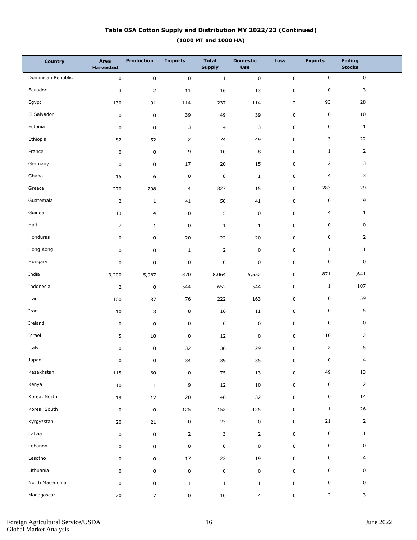# **(1000 MT and 1000 HA) Table 05A Cotton Supply and Distribution MY 2022/23 (Continued)**

| <b>Country</b>     | Area<br><b>Harvested</b> | <b>Production</b>   | <b>Imports</b> | <b>Total</b><br><b>Supply</b> | <b>Domestic</b><br><b>Use</b> | <b>Loss</b>    | <b>Exports</b> | <b>Ending</b><br><b>Stocks</b> |
|--------------------|--------------------------|---------------------|----------------|-------------------------------|-------------------------------|----------------|----------------|--------------------------------|
| Dominican Republic | $\mathbf 0$              | $\mathsf{O}\xspace$ | $\pmb{0}$      | $\mathbf{1}$                  | $\mathbf 0$                   | $\pmb{0}$      | $\mathsf{O}$   | $\mathsf 0$                    |
| Ecuador            | 3                        | $\overline{2}$      | 11             | 16                            | 13                            | 0              | 0              | 3                              |
| Egypt              | 130                      | 91                  | 114            | 237                           | 114                           | $\overline{2}$ | 93             | 28                             |
| El Salvador        | $\pmb{0}$                | $\mathbf 0$         | 39             | 49                            | 39                            | 0              | 0              | 10                             |
| Estonia            | $\pmb{0}$                | $\mathsf 0$         | 3              | $\overline{4}$                | 3                             | 0              | 0              | $\mathbf{1}$                   |
| Ethiopia           | 82                       | 52                  | $\overline{2}$ | 74                            | 49                            | 0              | 3              | 22                             |
| France             | $\pmb{0}$                | $\mathsf 0$         | 9              | 10                            | 8                             | 0              | $\mathbf{1}$   | $\overline{2}$                 |
| Germany            | 0                        | $\mathbf 0$         | 17             | 20                            | 15                            | 0              | $\overline{2}$ | 3                              |
| Ghana              | 15                       | 6                   | $\pmb{0}$      | $\bf 8$                       | $\mathbf{1}$                  | 0              | $\overline{4}$ | 3                              |
| Greece             | 270                      | 298                 | 4              | 327                           | 15                            | 0              | 283            | 29                             |
| Guatemala          | $\mathsf{2}\,$           | $\mathbf{1}$        | 41             | 50                            | 41                            | 0              | 0              | 9                              |
| Guinea             | 13                       | 4                   | $\mathsf 0$    | 5                             | $\pmb{0}$                     | 0              | $\overline{4}$ | $\mathbf{1}$                   |
| Haiti              | $\overline{7}$           | $\mathbf{1}$        | $\pmb{0}$      | $\mathbf{1}$                  | $\mathbf{1}$                  | 0              | 0              | 0                              |
| Honduras           | $\mathbf 0$              | 0                   | 20             | 22                            | 20                            | 0              | 0              | $\overline{2}$                 |
| Hong Kong          | 0                        | 0                   | $\mathbf 1$    | $\overline{2}$                | $\pmb{0}$                     | 0              | $\mathbf{1}$   | $\mathbf{1}$                   |
| Hungary            | $\pmb{0}$                | 0                   | $\pmb{0}$      | $\mathbf 0$                   | $\mathsf 0$                   | 0              | 0              | 0                              |
| India              | 13,200                   | 5,987               | 370            | 8,064                         | 5,552                         | 0              | 871            | 1,641                          |
| Indonesia          | $\overline{2}$           | $\mathsf 0$         | 544            | 652                           | 544                           | 0              | $\mathbf{1}$   | 107                            |
| Iran               | 100                      | 87                  | 76             | 222                           | 163                           | 0              | 0              | 59                             |
| Iraq               | 10                       | 3                   | 8              | 16                            | 11                            | 0              | 0              | 5                              |
| Ireland            | $\pmb{0}$                | $\mathsf 0$         | $\pmb{0}$      | $\pmb{0}$                     | $\pmb{0}$                     | 0              | 0              | 0                              |
| Israel             | 5                        | 10                  | $\pmb{0}$      | 12                            | $\pmb{0}$                     | 0              | 10             | $\overline{2}$                 |
| Italy              | $\pmb{0}$                | $\pmb{0}$           | 32             | 36                            | 29                            | 0              | $\overline{2}$ | 5                              |
| Japan              | $\pmb{0}$                | $\mathsf 0$         | 34             | 39                            | $35\,$                        | $\mathbf 0$    | $\mathbf 0$    | $\overline{4}$                 |
| Kazakhstan         | 115                      | 60                  | $\pmb{0}$      | 75                            | $13\,$                        | $\mathsf 0$    | 49             | 13                             |
| Kenya              | $10\,$                   | $\mathbf 1$         | 9              | 12                            | $10\,$                        | $\mathsf 0$    | 0              | $\overline{2}$                 |
| Korea, North       | 19                       | $12\,$              | 20             | 46                            | 32                            | $\mathsf 0$    | 0              | 14                             |
| Korea, South       | $\pmb{0}$                | $\mathbf 0$         | 125            | 152                           | 125                           | $\mathsf 0$    | $1\,$          | 26                             |
| Kyrgyzstan         | 20                       | 21                  | $\pmb{0}$      | 23                            | $\pmb{0}$                     | $\mathsf 0$    | $21\,$         | $\overline{2}$                 |
| Latvia             | $\pmb{0}$                | $\pmb{0}$           | $\overline{2}$ | $\mathbf{3}$                  | $\overline{2}$                | $\mathsf 0$    | $\pmb{0}$      | $\mathbf{1}$                   |
| Lebanon            | 0                        | $\mathsf 0$         | $\pmb{0}$      | $\pmb{0}$                     | $\mathsf 0$                   | $\mathsf 0$    | 0              | $\mathsf{O}\xspace$            |
| Lesotho            | 0                        | $\mathsf{O}\xspace$ | 17             | 23                            | 19                            | $\mathsf 0$    | 0              | $\overline{4}$                 |
| Lithuania          | $\mathbf 0$              | $\mathsf 0$         | $\pmb{0}$      | $\pmb{0}$                     | $\mathsf 0$                   | $\pmb{0}$      | 0              | $\mathsf{O}\xspace$            |
| North Macedonia    | $\mathsf 0$              | $\mathsf 0$         | $\mathbf{1}$   | $1\,$                         | $\mathbf{1}$                  | $\pmb{0}$      | 0              | $\mathbf 0$                    |
| Madagascar         | 20                       | $\overline{7}$      | 0              | $10\,$                        | $\overline{4}$                | 0              | $\overline{2}$ | $\mathbf{3}$                   |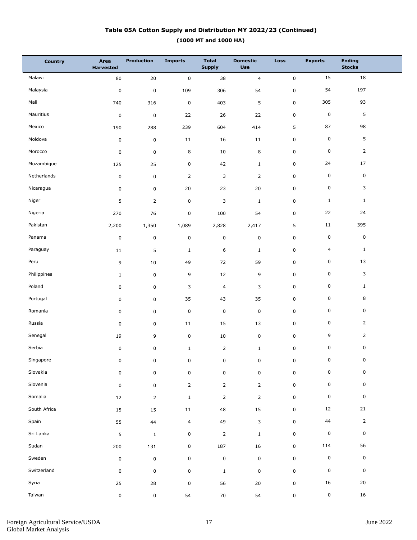# **(1000 MT and 1000 HA) Table 05A Cotton Supply and Distribution MY 2022/23 (Continued)**

| <b>Country</b> | Area<br><b>Harvested</b> | Production     | <b>Imports</b> | <b>Total</b><br><b>Supply</b> | <b>Domestic</b><br><b>Use</b> | <b>Loss</b>         | <b>Exports</b>      | <b>Ending</b><br><b>Stocks</b> |  |
|----------------|--------------------------|----------------|----------------|-------------------------------|-------------------------------|---------------------|---------------------|--------------------------------|--|
| Malawi         | 80                       | $20\,$         | $\mathbf 0$    | 38                            | $\overline{4}$                | $\mathsf{O}\xspace$ | 15                  | 18                             |  |
| Malaysia       | $\pmb{0}$                | $\pmb{0}$      | 109            | 306                           | 54                            | 0                   | 54                  | 197                            |  |
| Mali           | 740                      | 316            | $\pmb{0}$      | 403                           | $\mathsf S$                   | 0                   | 305                 | 93                             |  |
| Mauritius      | $\pmb{0}$                | $\mathbf 0$    | 22             | 26                            | 22                            | 0                   | $\pmb{0}$           | 5                              |  |
| Mexico         | 190                      | 288            | 239            | 604                           | 414                           | 5                   | 87                  | 98                             |  |
| Moldova        | $\pmb{0}$                | $\mathsf 0$    | $11\,$         | 16                            | $11\,$                        | 0                   | $\pmb{0}$           | 5                              |  |
| Morocco        | $\pmb{0}$                | $\mathsf 0$    | 8              | 10                            | 8                             | 0                   | $\pmb{0}$           | $\overline{2}$                 |  |
| Mozambique     | 125                      | 25             | $\pmb{0}$      | 42                            | $\mathbf{1}$                  | 0                   | 24                  | 17                             |  |
| Netherlands    | $\pmb{0}$                | $\pmb{0}$      | $\overline{2}$ | 3                             | $\overline{2}$                | 0                   | $\pmb{0}$           | $\mathbf 0$                    |  |
| Nicaragua      | 0                        | $\mathsf 0$    | 20             | 23                            | 20                            | 0                   | $\mathbf 0$         | 3                              |  |
| Niger          | 5                        | $\overline{2}$ | $\pmb{0}$      | $\mathsf 3$                   | $\mathbf{1}$                  | 0                   | $\mathbf{1}$        | $\mathbf{1}$                   |  |
| Nigeria        | 270                      | 76             | $\pmb{0}$      | 100                           | 54                            | 0                   | 22                  | 24                             |  |
| Pakistan       | 2,200                    | 1,350          | 1,089          | 2,828                         | 2,417                         | 5                   | $11\,$              | 395                            |  |
| Panama         | $\pmb{0}$                | $\pmb{0}$      | $\pmb{0}$      | $\mathsf 0$                   | $\mathbf 0$                   | 0                   | $\pmb{0}$           | $\mathbf 0$                    |  |
| Paraguay       | 11                       | 5              | $\mathbf{1}$   | 6                             | $\mathbf{1}$                  | 0                   | $\overline{4}$      | $\mathbf{1}$                   |  |
| Peru           | 9                        | 10             | 49             | 72                            | 59                            | 0                   | $\pmb{0}$           | 13                             |  |
| Philippines    | $\mathbf{1}$             | $\mathsf 0$    | 9              | 12                            | 9                             | 0                   | $\pmb{0}$           | 3                              |  |
| Poland         | 0                        | $\mathsf 0$    | 3              | $\overline{4}$                | 3                             | 0                   | $\pmb{0}$           | $\mathbf{1}$                   |  |
| Portugal       | 0                        | $\mathsf 0$    | 35             | 43                            | 35                            | 0                   | $\pmb{0}$           | 8                              |  |
| Romania        | 0                        | 0              | $\pmb{0}$      | $\mathsf 0$                   | $\mathbf 0$                   | 0                   | $\pmb{0}$           | 0                              |  |
| Russia         | $\pmb{0}$                | $\mathsf 0$    | $11\,$         | 15                            | 13                            | 0                   | $\pmb{0}$           | $\overline{2}$                 |  |
| Senegal        | 19                       | 9              | $\pmb{0}$      | 10                            | $\pmb{0}$                     | 0                   | 9                   | $\overline{2}$                 |  |
| Serbia         | 0                        | 0              | $\mathbf 1$    | $\overline{2}$                | $1\,$                         | 0                   | 0                   | 0                              |  |
| Singapore      | 0                        | 0              | 0              | 0                             | 0                             | 0                   | $\mathsf{O}\xspace$ | $\overline{0}$                 |  |
| Slovakia       | $\mathbf 0$              | 0              | $\pmb{0}$      | $\mathsf 0$                   | $\mathsf 0$                   | 0                   | $\mathsf 0$         | 0                              |  |
| Slovenia       | $\mathsf 0$              | 0              | $\overline{2}$ | $\overline{2}$                | $\overline{2}$                | 0                   | $\mathsf 0$         | 0                              |  |
| Somalia        | 12                       | $\overline{2}$ | $\mathbf{1}$   | $\overline{2}$                | $\overline{2}$                | 0                   | $\mathsf 0$         | 0                              |  |
| South Africa   | 15                       | 15             | $11\,$         | 48                            | 15                            | 0                   | 12                  | 21                             |  |
| Spain          | 55                       | 44             | 4              | 49                            | $\mathsf 3$                   | 0                   | 44                  | $\overline{2}$                 |  |
| Sri Lanka      | 5                        | $\mathbf{1}$   | $\pmb{0}$      | $\overline{2}$                | $\mathbf{1}$                  | 0                   | $\pmb{0}$           | $\mathbf 0$                    |  |
| Sudan          | 200                      | 131            | $\mathbf 0$    | 187                           | 16                            | 0                   | 114                 | 56                             |  |
| Sweden         | $\pmb{0}$                | $\mathbf 0$    | $\pmb{0}$      | $\pmb{0}$                     | $\pmb{0}$                     | $\mathbf 0$         | $\pmb{0}$           | $\mathbf 0$                    |  |
| Switzerland    | $\pmb{0}$                | 0              | $\mathbf 0$    | $\mathbf{1}$                  | $\mathbf 0$                   | 0                   | $\pmb{0}$           | $\mathsf 0$                    |  |
| Syria          | 25                       | 28             | $\pmb{0}$      | 56                            | 20                            | 0                   | 16                  | 20                             |  |
| Taiwan         | 0                        | 0              | 54             | 70                            | 54                            | 0                   | $\pmb{0}$           | 16                             |  |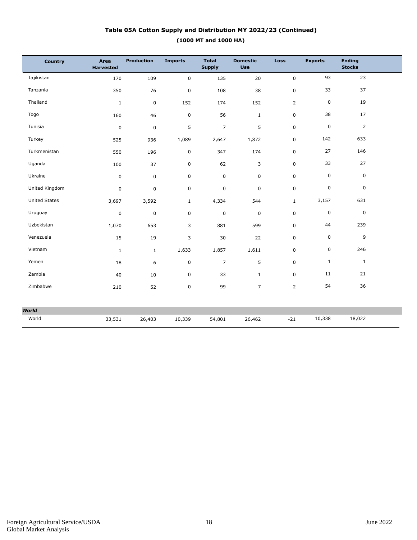# **(1000 MT and 1000 HA) Table 05A Cotton Supply and Distribution MY 2022/23 (Continued)**

| Country              | Area<br><b>Harvested</b> | <b>Production</b> | <b>Imports</b> | <b>Total</b><br><b>Supply</b> | <b>Domestic</b><br><b>Use</b> | <b>Loss</b>    | <b>Exports</b> | <b>Ending</b><br><b>Stocks</b> |
|----------------------|--------------------------|-------------------|----------------|-------------------------------|-------------------------------|----------------|----------------|--------------------------------|
| Tajikistan           | 170                      | 109               | $\mathbf 0$    | 135                           | 20                            | 0              | 93             | 23                             |
| Tanzania             | 350                      | 76                | $\pmb{0}$      | 108                           | 38                            | $\mathbf 0$    | 33             | 37                             |
| Thailand             | $\mathbf{1}$             | $\mathbf 0$       | 152            | 174                           | 152                           | $\overline{2}$ | $\mathsf 0$    | 19                             |
| Togo                 | 160                      | 46                | $\pmb{0}$      | 56                            | $\mathbf{1}$                  | 0              | 38             | 17                             |
| Tunisia              | $\pmb{0}$                | $\pmb{0}$         | 5              | $\overline{\phantom{a}}$      | $\mathsf S$                   | 0              | $\pmb{0}$      | $\overline{2}$                 |
| Turkey               | 525                      | 936               | 1,089          | 2,647                         | 1,872                         | 0              | 142            | 633                            |
| Turkmenistan         | 550                      | 196               | $\pmb{0}$      | 347                           | 174                           | 0              | 27             | 146                            |
| Uganda               | 100                      | 37                | $\pmb{0}$      | 62                            | $\mathsf 3$                   | 0              | 33             | 27                             |
| Ukraine              | $\mathbf 0$              | $\mathbf 0$       | $\mathbf 0$    | 0                             | $\mathbf 0$                   | $\overline{0}$ | $\pmb{0}$      | $\pmb{0}$                      |
| United Kingdom       | $\pmb{0}$                | $\pmb{0}$         | 0              | 0                             | $\mathbf 0$                   | 0              | $\pmb{0}$      | $\boldsymbol{0}$               |
| <b>United States</b> | 3,697                    | 3,592             | $\mathbf{1}$   | 4,334                         | 544                           | $\mathbf{1}$   | 3,157          | 631                            |
| Uruguay              | $\pmb{0}$                | $\mathbf 0$       | $\mathbf 0$    | 0                             | $\mathbf 0$                   | 0              | $\mathbf 0$    | $\boldsymbol{0}$               |
| Uzbekistan           | 1,070                    | 653               | 3              | 881                           | 599                           | 0              | 44             | 239                            |
| Venezuela            | 15                       | 19                | 3              | 30                            | 22                            | 0              | $\pmb{0}$      | 9                              |
| Vietnam              | $\mathbf{1}$             | $\mathbf{1}$      | 1,633          | 1,857                         | 1,611                         | 0              | $\pmb{0}$      | 246                            |
| Yemen                | 18                       | 6                 | 0              | $\overline{7}$                | 5                             | 0              | $\mathbf{1}$   | $\mathbf{1}$                   |
| Zambia               | 40                       | 10                | $\pmb{0}$      | 33                            | $\mathbf{1}$                  | 0              | 11             | 21                             |
| Zimbabwe             | 210                      | 52                | $\mathbf 0$    | 99                            | $\overline{7}$                | $\overline{2}$ | 54             | 36                             |
|                      |                          |                   |                |                               |                               |                |                |                                |
| <b>World</b>         |                          |                   |                |                               |                               |                |                |                                |
| World                | 33,531                   | 26,403            | 10,339         | 54,801                        | 26,462                        | $-21$          | 10,338         | 18,022                         |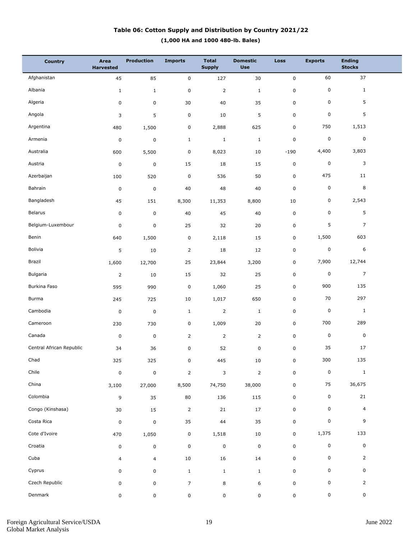# **(1,000 HA and 1000 480-lb. Bales) Table 06: Cotton Supply and Distribution by Country 2021/22**

| <b>Country</b>           | Area<br><b>Harvested</b> | <b>Production</b> | <b>Imports</b> | <b>Total</b><br><b>Supply</b> | <b>Domestic</b><br><b>Use</b> | Loss        | <b>Exports</b> | <b>Ending</b><br><b>Stocks</b> |  |
|--------------------------|--------------------------|-------------------|----------------|-------------------------------|-------------------------------|-------------|----------------|--------------------------------|--|
| Afghanistan              | 45                       | 85                | $\pmb{0}$      | 127                           | 30                            | $\mathbf 0$ | 60             | 37                             |  |
| Albania                  | $\mathbf{1}$             | $\mathbf{1}$      | $\pmb{0}$      | $\overline{2}$                | $\mathbf 1$                   | $\pmb{0}$   | 0              | $\mathbf{1}$                   |  |
| Algeria                  | 0                        | 0                 | 30             | 40                            | 35                            | $\mathsf 0$ | 0              | 5                              |  |
| Angola                   | 3                        | 5                 | $\mathsf 0$    | 10                            | 5                             | $\mathsf 0$ | $\pmb{0}$      | 5                              |  |
| Argentina                | 480                      | 1,500             | $\pmb{0}$      | 2,888                         | 625                           | $\mathsf 0$ | 750            | 1,513                          |  |
| Armenia                  | $\pmb{0}$                | $\mathsf 0$       | $\mathbf{1}$   | $\mathbf 1$                   | $\mathbf 1$                   | $\mathsf 0$ | 0              | $\pmb{0}$                      |  |
| Australia                | 600                      | 5,500             | $\pmb{0}$      | 8,023                         | 10                            | $-190$      | 4,400          | 3,803                          |  |
| Austria                  | $\pmb{0}$                | $\mathsf 0$       | 15             | 18                            | 15                            | $\pmb{0}$   | 0              | 3                              |  |
| Azerbaijan               | 100                      | 520               | $\pmb{0}$      | 536                           | 50                            | $\pmb{0}$   | 475            | 11                             |  |
| Bahrain                  | $\pmb{0}$                | $\pmb{0}$         | 40             | 48                            | 40                            | $\mathsf 0$ | 0              | 8                              |  |
| Bangladesh               | 45                       | 151               | 8,300          | 11,353                        | 8,800                         | 10          | 0              | 2,543                          |  |
| Belarus                  | 0                        | $\pmb{0}$         | 40             | 45                            | 40                            | $\mathsf 0$ | 0              | 5                              |  |
| Belgium-Luxembour        | $\pmb{0}$                | $\mathsf 0$       | 25             | 32                            | $20\,$                        | $\pmb{0}$   | 5              | $\overline{7}$                 |  |
| Benin                    | 640                      | 1,500             | $\pmb{0}$      | 2,118                         | 15                            | 0           | 1,500          | 603                            |  |
| Bolivia                  | 5                        | 10                | $\overline{2}$ | 18                            | 12                            | $\pmb{0}$   | 0              | 6                              |  |
| Brazil                   | 1,600                    | 12,700            | 25             | 23,844                        | 3,200                         | 0           | 7,900          | 12,744                         |  |
| Bulgaria                 | $\overline{2}$           | 10                | 15             | 32                            | 25                            | $\pmb{0}$   | 0              | $\overline{7}$                 |  |
| Burkina Faso             | 595                      | 990               | $\pmb{0}$      | 1,060                         | 25                            | $\mathbf 0$ | 900            | 135                            |  |
| Burma                    | 245                      | 725               | 10             | 1,017                         | 650                           | $\mathsf 0$ | 70             | 297                            |  |
| Cambodia                 | $\pmb{0}$                | $\pmb{0}$         | $\mathbf{1}$   | $\overline{2}$                | $\mathbf 1$                   | $\mathsf 0$ | 0              | $\mathbf{1}$                   |  |
| Cameroon                 | 230                      | 730               | $\pmb{0}$      | 1,009                         | 20                            | $\mathsf 0$ | 700            | 289                            |  |
| Canada                   | $\pmb{0}$                | $\pmb{0}$         | $\overline{2}$ | $\overline{2}$                | $\overline{2}$                | $\mathbf 0$ | 0              | $\pmb{0}$                      |  |
| Central African Republic | 34                       | 36                | $\pmb{0}$      | 52                            | $\pmb{0}$                     | $\mathsf 0$ | 35             | 17                             |  |
| Chad                     | 325                      | 325               | $\mathbf 0$    | 445                           | $10\,$                        | $\mathsf 0$ | 300            | 135                            |  |
| Chile                    | $\pmb{0}$                | $\pmb{0}$         | $\overline{2}$ | 3                             | $\overline{2}$                | $\pmb{0}$   | 0              | $\mathbf{1}$                   |  |
| China                    | 3,100                    | 27,000            | 8,500          | 74,750                        | 38,000                        | $\mathbf 0$ | 75             | 36,675                         |  |
| Colombia                 | 9                        | 35                | 80             | 136                           | 115                           | $\pmb{0}$   | 0              | 21                             |  |
| Congo (Kinshasa)         | 30                       | 15                | $\overline{2}$ | 21                            | 17                            | $\mathbf 0$ | 0              | $\overline{4}$                 |  |
| Costa Rica               | 0                        | $\pmb{0}$         | 35             | 44                            | 35                            | $\mathbf 0$ | 0              | 9                              |  |
| Cote d'Ivoire            | 470                      | 1,050             | $\pmb{0}$      | 1,518                         | 10                            | $\mathbf 0$ | 1,375          | 133                            |  |
| Croatia                  | 0                        | $\mathsf 0$       | $\pmb{0}$      | $\pmb{0}$                     | $\pmb{0}$                     | $\mathbf 0$ | 0              | $\mathsf 0$                    |  |
| Cuba                     | $\overline{4}$           | $\overline{4}$    | $10\,$         | 16                            | 14                            | $\pmb{0}$   | 0              | $\overline{2}$                 |  |
| Cyprus                   | 0                        | 0                 | $\mathbf{1}$   | $\mathbf{1}$                  | $\mathbf{1}$                  | 0           | 0              | 0                              |  |
| Czech Republic           | 0                        | $\mathsf 0$       | $\overline{7}$ | 8                             | 6                             | $\pmb{0}$   | 0              | $\overline{2}$                 |  |
| Denmark                  | 0                        | 0                 | $\mathsf 0$    | $\mathsf 0$                   | 0                             | 0           | 0              | 0                              |  |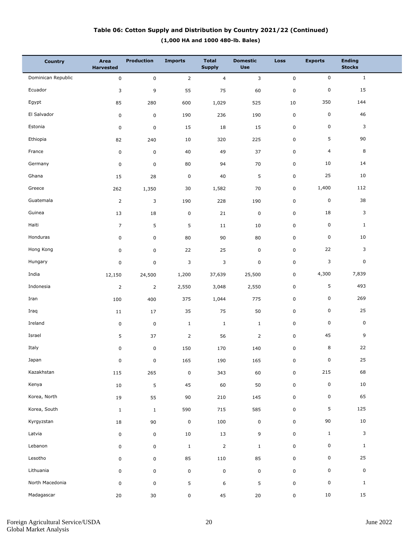## **(1,000 HA and 1000 480-lb. Bales) Table 06: Cotton Supply and Distribution by Country 2021/22 (Continued)**

| <b>Country</b>     | Area<br><b>Harvested</b> | <b>Production</b> | <b>Imports</b> | <b>Total</b><br><b>Supply</b> | <b>Domestic</b><br><b>Use</b> | <b>Loss</b> | <b>Exports</b> | <b>Ending</b><br><b>Stocks</b> |  |
|--------------------|--------------------------|-------------------|----------------|-------------------------------|-------------------------------|-------------|----------------|--------------------------------|--|
| Dominican Republic | $\pmb{0}$                | $\mathbf 0$       | $\overline{2}$ | $\overline{4}$                | 3                             | $\pmb{0}$   | $\mathsf 0$    | $\mathbf{1}$                   |  |
| Ecuador            | 3                        | 9                 | 55             | 75                            | 60                            | $\pmb{0}$   | $\pmb{0}$      | 15                             |  |
| Egypt              | 85                       | 280               | 600            | 1,029                         | 525                           | 10          | 350            | 144                            |  |
| El Salvador        | $\mathbf 0$              | 0                 | 190            | 236                           | 190                           | 0           | $\pmb{0}$      | 46                             |  |
| Estonia            | $\pmb{0}$                | $\pmb{0}$         | 15             | 18                            | 15                            | 0           | $\pmb{0}$      | 3                              |  |
| Ethiopia           | 82                       | 240               | 10             | 320                           | 225                           | 0           | 5              | 90                             |  |
| France             | $\pmb{0}$                | $\mathbf 0$       | 40             | 49                            | 37                            | 0           | $\overline{4}$ | 8                              |  |
| Germany            | $\pmb{0}$                | 0                 | 80             | 94                            | 70                            | 0           | 10             | 14                             |  |
| Ghana              | 15                       | 28                | $\pmb{0}$      | 40                            | $\mathsf S$                   | 0           | 25             | 10                             |  |
| Greece             | 262                      | 1,350             | 30             | 1,582                         | 70                            | 0           | 1,400          | 112                            |  |
| Guatemala          | $\overline{2}$           | 3                 | 190            | 228                           | 190                           | 0           | $\pmb{0}$      | 38                             |  |
| Guinea             | 13                       | 18                | $\pmb{0}$      | 21                            | $\pmb{0}$                     | 0           | 18             | 3                              |  |
| Haiti              | $\overline{7}$           | 5                 | 5              | 11                            | 10                            | 0           | $\pmb{0}$      | $\mathbf{1}$                   |  |
| Honduras           | $\pmb{0}$                | 0                 | 80             | 90                            | 80                            | 0           | $\pmb{0}$      | 10                             |  |
| Hong Kong          | $\pmb{0}$                | 0                 | 22             | 25                            | $\mathbf 0$                   | 0           | 22             | 3                              |  |
| Hungary            | $\pmb{0}$                | 0                 | 3              | 3                             | $\mathbf 0$                   | 0           | 3              | 0                              |  |
| India              | 12,150                   | 24,500            | 1,200          | 37,639                        | 25,500                        | 0           | 4,300          | 7,839                          |  |
| Indonesia          | $\overline{2}$           | $\overline{2}$    | 2,550          | 3,048                         | 2,550                         | 0           | $\sqrt{5}$     | 493                            |  |
| Iran               | 100                      | 400               | 375            | 1,044                         | 775                           | 0           | $\pmb{0}$      | 269                            |  |
| Iraq               | 11                       | 17                | 35             | 75                            | 50                            | 0           | $\pmb{0}$      | 25                             |  |
| Ireland            | $\pmb{0}$                | $\mathbf 0$       | $\mathbf{1}$   | $\mathbf{1}$                  | $1\,$                         | 0           | 0              | $\mathbf 0$                    |  |
| Israel             | 5                        | 37                | $\overline{2}$ | 56                            | $\overline{2}$                | 0           | 45             | 9                              |  |
| Italy              | 0                        | $\pmb{0}$         | 150            | 170                           | 140                           | 0           | 8              | 22                             |  |
| Japan              | 0                        | 0                 | 165            | 190                           | 165                           | 0           | $\mathbf 0$    | 25                             |  |
| Kazakhstan         | 115                      | 265               | $\pmb{0}$      | 343                           | 60                            | $\mathbf 0$ | 215            | 68                             |  |
| Kenya              | 10                       | $\overline{5}$    | 45             | 60                            | 50                            | $\mathbf 0$ | $\pmb{0}$      | $10\,$                         |  |
| Korea, North       | $19\,$                   | 55                | 90             | 210                           | 145                           | 0           | 0              | 65                             |  |
| Korea, South       | $\mathbf{1}$             | $\mathbf{1}$      | 590            | 715                           | 585                           | 0           | 5              | 125                            |  |
| Kyrgyzstan         | 18                       | 90                | $\pmb{0}$      | 100                           | $\mathsf 0$                   | 0           | 90             | 10                             |  |
| Latvia             | $\pmb{0}$                | $\mathsf 0$       | $10\,$         | 13                            | 9                             | $\mathbf 0$ | $\mathbf{1}$   | 3                              |  |
| Lebanon            | 0                        | $\mathsf 0$       | $\mathbf{1}$   | $\mathbf 2$                   | $\mathbf{1}$                  | 0           | 0              | $\mathbf{1}$                   |  |
| Lesotho            | 0                        | $\mathsf 0$       | 85             | 110                           | 85                            | 0           | $\mathbf 0$    | 25                             |  |
| Lithuania          | 0                        | $\mathsf 0$       | $\pmb{0}$      | $\mathsf 0$                   | $\mathsf{O}\xspace$           | 0           | 0              | $\mathbf 0$                    |  |
| North Macedonia    | $\pmb{0}$                | $\mathsf 0$       | 5              | 6                             | 5                             | 0           | $\mathsf 0$    | $\mathbf{1}$                   |  |
| Madagascar         | $20\,$                   | $30\,$            | $\pmb{0}$      | 45                            | $20\,$                        | 0           | 10             | 15                             |  |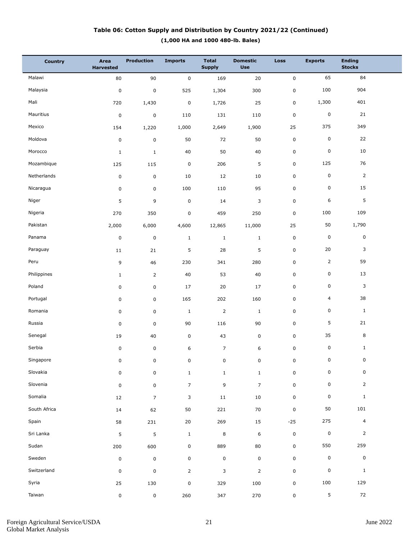## **(1,000 HA and 1000 480-lb. Bales) Table 06: Cotton Supply and Distribution by Country 2021/22 (Continued)**

| <b>Country</b> | Area<br><b>Harvested</b> | <b>Production</b> | <b>Imports</b> | <b>Total</b><br><b>Supply</b> | <b>Domestic</b><br><b>Use</b> | <b>Loss</b> | <b>Exports</b> | <b>Ending</b><br><b>Stocks</b> |  |
|----------------|--------------------------|-------------------|----------------|-------------------------------|-------------------------------|-------------|----------------|--------------------------------|--|
| Malawi         | 80                       | 90                | 0              | 169                           | 20                            | $\pmb{0}$   | 65             | 84                             |  |
| Malaysia       | $\pmb{0}$                | $\pmb{0}$         | 525            | 1,304                         | 300                           | $\mathsf 0$ | 100            | 904                            |  |
| Mali           | 720                      | 1,430             | $\pmb{0}$      | 1,726                         | 25                            | 0           | 1,300          | 401                            |  |
| Mauritius      | $\pmb{0}$                | 0                 | 110            | 131                           | 110                           | 0           | $\pmb{0}$      | 21                             |  |
| Mexico         | 154                      | 1,220             | 1,000          | 2,649                         | 1,900                         | 25          | 375            | 349                            |  |
| Moldova        | $\pmb{0}$                | 0                 | 50             | 72                            | 50                            | $\mathbf 0$ | 0              | 22                             |  |
| Morocco        | $\mathbf{1}$             | $1\,$             | 40             | 50                            | 40                            | $\mathsf 0$ | 0              | 10                             |  |
| Mozambique     | 125                      | 115               | $\pmb{0}$      | 206                           | 5                             | 0           | 125            | 76                             |  |
| Netherlands    | 0                        | 0                 | 10             | 12                            | 10                            | $\mathsf 0$ | $\pmb{0}$      | $\overline{2}$                 |  |
| Nicaragua      | 0                        | 0                 | 100            | 110                           | 95                            | 0           | $\pmb{0}$      | 15                             |  |
| Niger          | 5                        | 9                 | $\pmb{0}$      | 14                            | 3                             | $\mathsf 0$ | 6              | 5                              |  |
| Nigeria        | 270                      | 350               | $\pmb{0}$      | 459                           | 250                           | 0           | 100            | 109                            |  |
| Pakistan       | 2,000                    | 6,000             | 4,600          | 12,865                        | 11,000                        | 25          | 50             | 1,790                          |  |
| Panama         | 0                        | $\mathsf 0$       | $\mathbf{1}$   | $\mathbf{1}$                  | $\mathbf{1}$                  | 0           | $\pmb{0}$      | 0                              |  |
| Paraguay       | 11                       | 21                | 5              | 28                            | 5                             | 0           | 20             | 3                              |  |
| Peru           | 9                        | 46                | 230            | 341                           | 280                           | 0           | $\overline{2}$ | 59                             |  |
| Philippines    | $\mathbf{1}$             | $\overline{2}$    | 40             | 53                            | 40                            | $\mathsf 0$ | 0              | 13                             |  |
| Poland         | 0                        | 0                 | 17             | 20                            | 17                            | 0           | $\pmb{0}$      | 3                              |  |
| Portugal       | 0                        | 0                 | 165            | 202                           | 160                           | $\mathsf 0$ | 4              | 38                             |  |
| Romania        | 0                        | 0                 | $\mathbf{1}$   | $\mathsf 2$                   | $\mathbf{1}$                  | 0           | 0              | $\mathbf{1}$                   |  |
| Russia         | 0                        | 0                 | 90             | 116                           | 90                            | 0           | 5              | 21                             |  |
| Senegal        | 19                       | 40                | $\pmb{0}$      | 43                            | 0                             | 0           | 35             | 8                              |  |
| Serbia         | 0                        | $\pmb{0}$         | 6              | $\overline{7}$                | 6                             | 0           | 0              | $\mathbf{1}$                   |  |
| Singapore      | 0                        | 0                 | 0              | 0                             | 0                             | 0           | 0              | 0                              |  |
| Slovakia       | $\pmb{0}$                | $\mathbf 0$       | $\mathbf{1}$   | $\mathbf{1}$                  | $\mathbf{1}$                  | $\pmb{0}$   | 0              | 0                              |  |
| Slovenia       | $\pmb{0}$                | 0                 | $\overline{7}$ | 9                             | $\overline{7}$                | $\mathbf 0$ | 0              | $\overline{2}$                 |  |
| Somalia        | 12                       | $\overline{7}$    | 3              | 11                            | 10                            | $\mathbf 0$ | $\mathbf 0$    | $\mathbf{1}$                   |  |
| South Africa   | 14                       | 62                | 50             | 221                           | 70                            | $\pmb{0}$   | 50             | 101                            |  |
| Spain          | 58                       | 231               | 20             | 269                           | 15                            | $-25$       | 275            | $\overline{4}$                 |  |
| Sri Lanka      | 5                        | 5                 | $\mathbf 1$    | 8                             | 6                             | $\pmb{0}$   | $\pmb{0}$      | $\overline{2}$                 |  |
| Sudan          | 200                      | 600               | 0              | 889                           | 80                            | $\mathbf 0$ | 550            | 259                            |  |
| Sweden         | $\pmb{0}$                | 0                 | 0              | $\mathbf 0$                   | 0                             | $\pmb{0}$   | $\mathbf 0$    | 0                              |  |
| Switzerland    | $\pmb{0}$                | 0                 | $\overline{2}$ | 3                             | $\overline{2}$                | $\mathbf 0$ | $\pmb{0}$      | $\mathbf{1}$                   |  |
| Syria          | 25                       | 130               | $\pmb{0}$      | 329                           | 100                           | $\pmb{0}$   | 100            | 129                            |  |
| Taiwan         | 0                        | $\mathbf 0$       | 260            | 347                           | 270                           | $\mathsf 0$ | 5              | 72                             |  |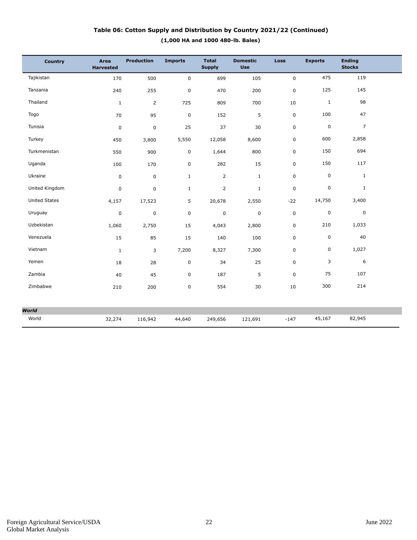# **(1,000 HA and 1000 480-lb. Bales) Table 06: Cotton Supply and Distribution by Country 2021/22 (Continued)**

| Country              | <b>Area</b><br><b>Harvested</b> | <b>Production</b> | <b>Imports</b> | <b>Total</b><br><b>Supply</b> | <b>Domestic</b><br><b>Use</b> | <b>Loss</b> | <b>Exports</b> | <b>Ending</b><br><b>Stocks</b> |  |
|----------------------|---------------------------------|-------------------|----------------|-------------------------------|-------------------------------|-------------|----------------|--------------------------------|--|
| Tajikistan           | 170                             | 500               | $\pmb{0}$      | 699                           | 105                           | $\pmb{0}$   | 475            | 119                            |  |
| Tanzania             | 240                             | 255               | $\pmb{0}$      | 470                           | 200                           | 0           | 125            | 145                            |  |
| Thailand             | $\mathbf{1}$                    | $\overline{2}$    | 725            | 809                           | 700                           | 10          | $1\,$          | 98                             |  |
| Togo                 | 70                              | 95                | $\mathbf 0$    | 152                           | 5                             | 0           | 100            | 47                             |  |
| Tunisia              | $\pmb{0}$                       | $\pmb{0}$         | 25             | 37                            | 30                            | $\pmb{0}$   | $\mathsf 0$    | $\overline{7}$                 |  |
| Turkey               | 450                             | 3,800             | 5,550          | 12,058                        | 8,600                         | $\mathbf 0$ | 600            | 2,858                          |  |
| Turkmenistan         | 550                             | 900               | $\mathsf 0$    | 1,644                         | 800                           | 0           | 150            | 694                            |  |
| Uganda               | 100                             | 170               | $\pmb{0}$      | 282                           | 15                            | 0           | 150            | 117                            |  |
| Ukraine              | $\mathbf 0$                     | $\mathbf 0$       | $\mathbf{1}$   | $\overline{2}$                | $\mathbf{1}$                  | $\mathbf 0$ | 0              | $\mathbf{1}$                   |  |
| United Kingdom       | 0                               | 0                 | $\mathbf 1$    | $\overline{2}$                | $\mathbf 1$                   | $\pmb{0}$   | 0              | $\mathbf{1}$                   |  |
| <b>United States</b> | 4,157                           | 17,523            | 5              | 20,678                        | 2,550                         | $-22$       | 14,750         | 3,400                          |  |
| Uruguay              | 0                               | $\pmb{0}$         | $\overline{0}$ | $\mathsf 0$                   | $\pmb{0}$                     | $\mathbf 0$ | 0              | $\mathbf 0$                    |  |
| Uzbekistan           | 1,060                           | 2,750             | 15             | 4,043                         | 2,800                         | 0           | 210            | 1,033                          |  |
| Venezuela            | 15                              | 85                | 15             | 140                           | 100                           | 0           | 0              | 40                             |  |
| Vietnam              | $\mathbf{1}$                    | 3                 | 7,200          | 8,327                         | 7,300                         | 0           | 0              | 1,027                          |  |
| Yemen                | 18                              | 28                | $\pmb{0}$      | 34                            | 25                            | 0           | 3              | 6                              |  |
| Zambia               | 40                              | 45                | $\pmb{0}$      | 187                           | 5                             | 0           | 75             | 107                            |  |
| Zimbabwe             | 210                             | 200               | $\pmb{0}$      | 554                           | 30                            | 10          | 300            | 214                            |  |
|                      |                                 |                   |                |                               |                               |             |                |                                |  |
| <b>World</b>         |                                 |                   |                |                               |                               |             |                |                                |  |
| World                | 32,274                          | 116,942           | 44,640         | 249,656                       | 121,691                       | $-147$      | 45,167         | 82,945                         |  |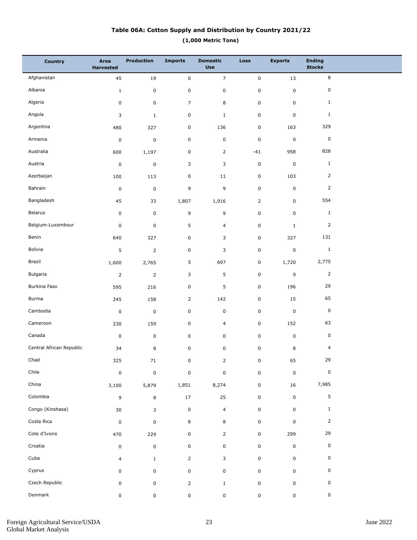# **(1,000 Metric Tons) Table 06A: Cotton Supply and Distribution by Country 2021/22**

| <b>Country</b>           | Area<br><b>Harvested</b> | <b>Production</b> | <b>Imports</b> | <b>Domestic</b><br><b>Use</b> | Loss           | <b>Exports</b> | <b>Ending</b><br><b>Stocks</b> |  |
|--------------------------|--------------------------|-------------------|----------------|-------------------------------|----------------|----------------|--------------------------------|--|
| Afghanistan              | 45                       | $19\,$            | $\mathbf 0$    | $\overline{7}$                | $\pmb{0}$      | 13             | 8                              |  |
| Albania                  | $\mathbf{1}$             | $\pmb{0}$         | $\pmb{0}$      | $\pmb{0}$                     | $\pmb{0}$      | $\mathsf 0$    | 0                              |  |
| Algeria                  | 0                        | $\mathsf 0$       | $\overline{7}$ | 8                             | $\pmb{0}$      | $\mathsf 0$    | $\mathbf{1}$                   |  |
| Angola                   | 3                        | $\mathbf{1}$      | $\pmb{0}$      | $\mathbf{1}$                  | $\pmb{0}$      | $\mathsf 0$    | $\mathbf{1}$                   |  |
| Argentina                | 480                      | 327               | $\mathsf 0$    | 136                           | $\pmb{0}$      | 163            | 329                            |  |
| Armenia                  | $\pmb{0}$                | $\pmb{0}$         | $\pmb{0}$      | $\pmb{0}$                     | $\pmb{0}$      | $\pmb{0}$      | $\mathsf 0$                    |  |
| Australia                | 600                      | 1,197             | $\pmb{0}$      | $\overline{2}$                | $-41$          | 958            | 828                            |  |
| Austria                  | $\pmb{0}$                | $\pmb{0}$         | 3              | 3                             | $\pmb{0}$      | $\pmb{0}$      | $\mathbf{1}$                   |  |
| Azerbaijan               | 100                      | 113               | $\pmb{0}$      | 11                            | $\mathsf 0$    | 103            | $\overline{2}$                 |  |
| Bahrain                  | $\pmb{0}$                | $\pmb{0}$         | 9              | 9                             | $\mathsf 0$    | $\mathsf 0$    | $\overline{2}$                 |  |
| Bangladesh               | 45                       | 33                | 1,807          | 1,916                         | $\overline{2}$ | $\mathsf 0$    | 554                            |  |
| Belarus                  | $\pmb{0}$                | $\mathsf 0$       | 9              | 9                             | $\pmb{0}$      | $\mathsf 0$    | $\mathbf{1}$                   |  |
| Belgium-Luxembour        | $\pmb{0}$                | $\mathsf 0$       | 5              | 4                             | $\pmb{0}$      | $1\,$          | $\overline{2}$                 |  |
| Benin                    | 640                      | 327               | $\pmb{0}$      | 3                             | $\pmb{0}$      | 327            | 131                            |  |
| Bolivia                  | 5                        | $\mathbf 2$       | $\pmb{0}$      | 3                             | $\pmb{0}$      | $\mathsf 0$    | $\,$ 1                         |  |
| Brazil                   | 1,600                    | 2,765             | 5              | 697                           | $\pmb{0}$      | 1,720          | 2,775                          |  |
| Bulgaria                 | $\overline{2}$           | $\mathbf 2$       | 3              | 5                             | $\pmb{0}$      | $\pmb{0}$      | $\mathsf{2}$                   |  |
| Burkina Faso             | 595                      | 216               | $\pmb{0}$      | 5                             | $\pmb{0}$      | 196            | 29                             |  |
| Burma                    | 245                      | 158               | $\overline{2}$ | 142                           | $\pmb{0}$      | 15             | 65                             |  |
| Cambodia                 | $\pmb{0}$                | $\pmb{0}$         | $\pmb{0}$      | $\pmb{0}$                     | $\pmb{0}$      | $\mathsf 0$    | $\mathsf 0$                    |  |
| Cameroon                 | 230                      | 159               | $\pmb{0}$      | 4                             | $\pmb{0}$      | 152            | 63                             |  |
| Canada                   | $\pmb{0}$                | $\mathsf 0$       | $\pmb{0}$      | $\pmb{0}$                     | $\pmb{0}$      | $\mathsf 0$    | $\mathsf 0$                    |  |
| Central African Republic | 34                       | 8                 | $\pmb{0}$      | $\pmb{0}$                     | $\pmb{0}$      | 8              | $\overline{\mathbf{4}}$        |  |
| Chad                     | 325                      | $71\,$            | 0              | $\mathbf 2$                   | $\mathbf 0$    | 65             | 29                             |  |
| Chile                    | $\pmb{0}$                | $\pmb{0}$         | $\pmb{0}$      | $\pmb{0}$                     | $\pmb{0}$      | $\mathsf 0$    | $\pmb{0}$                      |  |
| China                    | 3,100                    | 5,879             | 1,851          | 8,274                         | $\pmb{0}$      | 16             | 7,985                          |  |
| Colombia                 | 9                        | 8                 | $17\,$         | 25                            | 0              | $\mathsf 0$    | 5                              |  |
| Congo (Kinshasa)         | $30\,$                   | 3                 | $\pmb{0}$      | $\overline{4}$                | $\pmb{0}$      | $\mathsf 0$    | $\mathbf{1}$                   |  |
| Costa Rica               | $\pmb{0}$                | $\mathsf 0$       | $\,8\,$        | 8                             | $\pmb{0}$      | $\mathsf 0$    | $\overline{2}$                 |  |
| Cote d'Ivoire            | 470                      | 229               | $\pmb{0}$      | $\overline{2}$                | $\pmb{0}$      | 299            | 29                             |  |
| Croatia                  | $\pmb{0}$                | $\pmb{0}$         | $\pmb{0}$      | $\pmb{0}$                     | $\mathbf 0$    | $\mathsf 0$    | $\pmb{0}$                      |  |
| Cuba                     | $\overline{4}$           | $\mathbf{1}$      | $\overline{2}$ | 3                             | $\mathbf 0$    | $\mathsf 0$    | 0                              |  |
| Cyprus                   | 0                        | 0                 | $\pmb{0}$      | $\pmb{0}$                     | $\pmb{0}$      | $\mathsf 0$    | 0                              |  |
| Czech Republic           | 0                        | 0                 | $\overline{2}$ | $\mathbf{1}$                  | $\mathsf 0$    | $\mathsf 0$    | $\pmb{0}$                      |  |
| Denmark                  | 0                        | $\mathbf 0$       | 0              | $\mathsf 0$                   | $\pmb{0}$      | $\mathsf 0$    | $\pmb{0}$                      |  |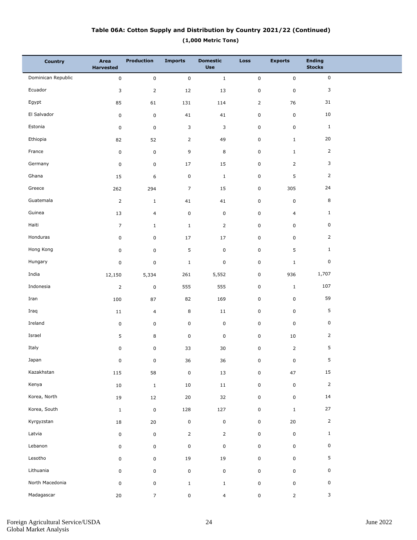### **(1,000 Metric Tons) Table 06A: Cotton Supply and Distribution by Country 2021/22 (Continued)**

| <b>Country</b>     | Area<br><b>Harvested</b> | <b>Production</b>   | <b>Imports</b> | <b>Domestic</b><br><b>Use</b> | <b>Loss</b>    | <b>Exports</b> | <b>Ending</b><br><b>Stocks</b> |  |
|--------------------|--------------------------|---------------------|----------------|-------------------------------|----------------|----------------|--------------------------------|--|
| Dominican Republic | $\pmb{0}$                | $\mathsf{O}\xspace$ | $\pmb{0}$      | $\mathbf 1$                   | $\pmb{0}$      | $\mathbf 0$    | $\mathsf{O}\xspace$            |  |
| Ecuador            | 3                        | $\overline{2}$      | 12             | 13                            | $\pmb{0}$      | $\mathsf 0$    | 3                              |  |
| Egypt              | 85                       | 61                  | 131            | 114                           | $\overline{2}$ | 76             | 31                             |  |
| El Salvador        | $\pmb{0}$                | 0                   | 41             | 41                            | 0              | $\mathbf 0$    | $10\,$                         |  |
| Estonia            | $\pmb{0}$                | $\mathbf 0$         | $\mathsf 3$    | 3                             | $\pmb{0}$      | $\mathsf 0$    | $1\,$                          |  |
| Ethiopia           | 82                       | 52                  | $\overline{2}$ | 49                            | 0              | $\mathbf{1}$   | 20                             |  |
| France             | $\pmb{0}$                | 0                   | 9              | 8                             | $\pmb{0}$      | $\mathbf{1}$   | $\overline{2}$                 |  |
| Germany            | 0                        | 0                   | $17\,$         | 15                            | 0              | $\overline{2}$ | 3                              |  |
| Ghana              | 15                       | 6                   | $\pmb{0}$      | $\mathbf{1}$                  | $\pmb{0}$      | 5              | 2                              |  |
| Greece             | 262                      | 294                 | $\overline{7}$ | 15                            | 0              | 305            | 24                             |  |
| Guatemala          | $\overline{2}$           | $\mathbf{1}$        | 41             | 41                            | $\pmb{0}$      | $\mathsf 0$    | 8                              |  |
| Guinea             | 13                       | $\overline{4}$      | $\pmb{0}$      | $\mathbf 0$                   | $\pmb{0}$      | $\overline{4}$ | $\mathbf{1}$                   |  |
| Haiti              | $\overline{7}$           | $\mathbf{1}$        | $\mathbf{1}$   | $\overline{2}$                | $\pmb{0}$      | $\mathbf 0$    | $\mathsf 0$                    |  |
| Honduras           | 0                        | 0                   | $17\,$         | 17                            | $\pmb{0}$      | $\mathbf 0$    | 2                              |  |
| Hong Kong          | 0                        | 0                   | 5              | $\mathbf 0$                   | $\pmb{0}$      | 5              | $\mathbf{1}$                   |  |
| Hungary            | 0                        | 0                   | $\mathbf 1$    | $\pmb{0}$                     | $\pmb{0}$      | $\mathbf{1}$   | $\mathsf 0$                    |  |
| India              | 12,150                   | 5,334               | 261            | 5,552                         | $\pmb{0}$      | 936            | 1,707                          |  |
| Indonesia          | $\overline{2}$           | $\mathbf 0$         | 555            | 555                           | $\pmb{0}$      | $\mathbf{1}$   | 107                            |  |
| Iran               | 100                      | 87                  | 82             | 169                           | $\pmb{0}$      | $\mathsf 0$    | 59                             |  |
| Iraq               | 11                       | $\overline{4}$      | $\,8\,$        | 11                            | $\pmb{0}$      | $\mathsf 0$    | 5                              |  |
| Ireland            | 0                        | 0                   | $\pmb{0}$      | $\mathbf 0$                   | $\pmb{0}$      | $\mathsf 0$    | $\mathsf 0$                    |  |
| Israel             | 5                        | 8                   | $\pmb{0}$      | $\mathbf 0$                   | $\pmb{0}$      | 10             | $\overline{2}$                 |  |
| Italy              | 0                        | 0                   | 33             | 30                            | $\pmb{0}$      | $\overline{2}$ | 5                              |  |
| Japan              | 0                        | 0                   | $36\,$         | $36\,$                        | 0              | 0              | 5                              |  |
| Kazakhstan         | 115                      | 58                  | $\pmb{0}$      | 13                            | $\pmb{0}$      | 47             | 15                             |  |
| Kenya              | $10\,$                   | $\,$ 1 $\,$         | $10\,$         | $11\,$                        | $\pmb{0}$      | $\mathbf 0$    | $\mathsf{2}$                   |  |
| Korea, North       | 19                       | 12                  | 20             | 32                            | $\pmb{0}$      | $\mathbf 0$    | $14\,$                         |  |
| Korea, South       | $\mathbf{1}$             | $\pmb{0}$           | 128            | 127                           | $\pmb{0}$      | $\mathbf{1}$   | $27\,$                         |  |
| Kyrgyzstan         | 18                       | $20\,$              | $\pmb{0}$      | $\pmb{0}$                     | $\pmb{0}$      | $20\,$         | $\mathsf{2}$                   |  |
| Latvia             | 0                        | $\mathbf 0$         | $\overline{2}$ | $\overline{2}$                | $\pmb{0}$      | $\mathbf 0$    | $\mathbf 1$                    |  |
| Lebanon            | 0                        | 0                   | $\pmb{0}$      | $\pmb{0}$                     | $\pmb{0}$      | $\mathsf 0$    | $\pmb{0}$                      |  |
| Lesotho            | 0                        | 0                   | 19             | 19                            | $\pmb{0}$      | $\mathsf 0$    | $\sqrt{5}$                     |  |
| Lithuania          | 0                        | 0                   | $\pmb{0}$      | $\pmb{0}$                     | $\pmb{0}$      | $\mathsf 0$    | 0                              |  |
| North Macedonia    | 0                        | $\mathbf 0$         | $\,$ 1 $\,$    | $\mathbf{1}$                  | $\pmb{0}$      | $\mathsf 0$    | $\pmb{0}$                      |  |
| Madagascar         | $20\,$                   | $\overline{7}$      | $\pmb{0}$      | $\overline{4}$                | $\pmb{0}$      | $\overline{2}$ | $\mathbf{3}$                   |  |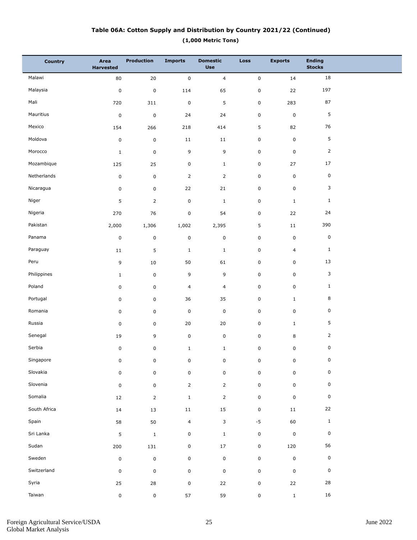### **(1,000 Metric Tons) Table 06A: Cotton Supply and Distribution by Country 2021/22 (Continued)**

| <b>Country</b> | Area<br><b>Harvested</b> | <b>Production</b> | <b>Imports</b>      | <b>Domestic</b><br><b>Use</b> | Loss        | <b>Exports</b> | <b>Ending</b><br><b>Stocks</b> |  |
|----------------|--------------------------|-------------------|---------------------|-------------------------------|-------------|----------------|--------------------------------|--|
| Malawi         | 80                       | $20\,$            | $\mathbf 0$         | $\overline{4}$                | $\mathbf 0$ | 14             | 18                             |  |
| Malaysia       | $\pmb{0}$                | $\pmb{0}$         | 114                 | 65                            | $\pmb{0}$   | 22             | 197                            |  |
| Mali           | 720                      | 311               | $\mathbf 0$         | 5                             | $\mathbf 0$ | 283            | 87                             |  |
| Mauritius      | $\pmb{0}$                | $\pmb{0}$         | 24                  | 24                            | $\pmb{0}$   | $\pmb{0}$      | $\sqrt{5}$                     |  |
| Mexico         | 154                      | 266               | 218                 | 414                           | 5           | 82             | 76                             |  |
| Moldova        | $\pmb{0}$                | $\pmb{0}$         | 11                  | 11                            | $\pmb{0}$   | $\pmb{0}$      | $\sqrt{5}$                     |  |
| Morocco        | $\mathbf{1}$             | $\pmb{0}$         | 9                   | 9                             | $\pmb{0}$   | $\pmb{0}$      | $\overline{2}$                 |  |
| Mozambique     | 125                      | 25                | $\mathbf 0$         | $\mathbf{1}$                  | $\pmb{0}$   | 27             | 17                             |  |
| Netherlands    | $\pmb{0}$                | $\pmb{0}$         | $\overline{2}$      | $\overline{2}$                | $\pmb{0}$   | $\pmb{0}$      | $\pmb{0}$                      |  |
| Nicaragua      | $\pmb{0}$                | $\mathbf 0$       | 22                  | 21                            | $\pmb{0}$   | $\pmb{0}$      | 3                              |  |
| Niger          | 5                        | $\mathsf{2}$      | $\pmb{0}$           | $\mathbf{1}$                  | $\pmb{0}$   | $\mathbf{1}$   | $\mathbf{1}$                   |  |
| Nigeria        | 270                      | 76                | $\pmb{0}$           | 54                            | $\pmb{0}$   | 22             | 24                             |  |
| Pakistan       | 2,000                    | 1,306             | 1,002               | 2,395                         | 5           | 11             | 390                            |  |
| Panama         | $\pmb{0}$                | $\pmb{0}$         | $\mathbf 0$         | $\pmb{0}$                     | $\pmb{0}$   | $\pmb{0}$      | $\mathsf 0$                    |  |
| Paraguay       | 11                       | 5                 | $\mathbf{1}$        | $1\,$                         | $\pmb{0}$   | $\overline{a}$ | $\mathbf{1}$                   |  |
| Peru           | 9                        | 10                | 50                  | 61                            | $\pmb{0}$   | $\pmb{0}$      | 13                             |  |
| Philippines    | $\mathbf{1}$             | $\pmb{0}$         | 9                   | 9                             | $\pmb{0}$   | $\pmb{0}$      | 3                              |  |
| Poland         | $\pmb{0}$                | $\mathbf 0$       | $\overline{4}$      | $\overline{4}$                | $\pmb{0}$   | $\pmb{0}$      | $\mathbf{1}$                   |  |
| Portugal       | $\pmb{0}$                | $\mathbf 0$       | 36                  | 35                            | $\pmb{0}$   | $\mathbf{1}$   | 8                              |  |
| Romania        | $\pmb{0}$                | $\mathbf 0$       | $\mathbf 0$         | $\pmb{0}$                     | $\pmb{0}$   | $\pmb{0}$      | $\pmb{0}$                      |  |
| Russia         | $\pmb{0}$                | $\mathbf 0$       | 20                  | 20                            | $\pmb{0}$   | $\mathbf{1}$   | 5                              |  |
| Senegal        | 19                       | 9                 | $\mathbf 0$         | $\mathsf 0$                   | $\pmb{0}$   | $\,8\,$        | $\overline{2}$                 |  |
| Serbia         | $\pmb{0}$                | 0                 | $\mathbf{1}$        | $\,1\,$                       | $\pmb{0}$   | $\pmb{0}$      | $\mathsf 0$                    |  |
| Singapore      | 0                        | 0                 | 0                   | 0                             | 0           | 0              | 0                              |  |
| Slovakia       | $\mathsf 0$              | $\pmb{0}$         | $\mathsf{O}\xspace$ | $\pmb{0}$                     | $\pmb{0}$   | $\pmb{0}$      | $\mathsf 0$                    |  |
| Slovenia       | $\pmb{0}$                | $\pmb{0}$         | $\overline{2}$      | $\overline{2}$                | $\pmb{0}$   | $\pmb{0}$      | $\pmb{0}$                      |  |
| Somalia        | 12                       | $\overline{2}$    | $\mathbf{1}$        | $\overline{2}$                | $\pmb{0}$   | $\pmb{0}$      | $\mathsf 0$                    |  |
| South Africa   | $14\,$                   | 13                | $11\,$              | 15                            | $\pmb{0}$   | 11             | 22                             |  |
| Spain          | 58                       | 50                | $\overline{4}$      | 3                             | $-5$        | 60             | $\mathbf{1}$                   |  |
| Sri Lanka      | 5                        | $1\,$             | $\mathsf 0$         | $1\,$                         | $\pmb{0}$   | $\pmb{0}$      | $\mathsf 0$                    |  |
| Sudan          | 200                      | 131               | $\mathbf 0$         | $17\,$                        | $\mathsf 0$ | 120            | 56                             |  |
| Sweden         | $\pmb{0}$                | $\pmb{0}$         | $\pmb{0}$           | $\pmb{0}$                     | $\mathbf 0$ | $\pmb{0}$      | $\pmb{0}$                      |  |
| Switzerland    | $\pmb{0}$                | $\pmb{0}$         | $\mathbf 0$         | $\pmb{0}$                     | $\pmb{0}$   | $\pmb{0}$      | $\mathsf 0$                    |  |
| Syria          | 25                       | 28                | $\mathsf 0$         | 22                            | $\pmb{0}$   | 22             | ${\bf 28}$                     |  |
| Taiwan         | $\pmb{0}$                | $\pmb{0}$         | 57                  | 59                            | $\pmb{0}$   | $\mathbf{1}$   | 16                             |  |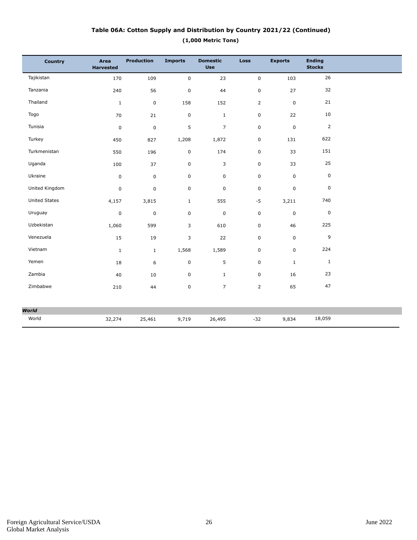### **(1,000 Metric Tons) Table 06A: Cotton Supply and Distribution by Country 2021/22 (Continued)**

| <b>Country</b>       | Area<br><b>Harvested</b> | <b>Production</b> | <b>Imports</b> | <b>Domestic</b><br><b>Use</b> | <b>Loss</b>             | <b>Exports</b> | <b>Ending</b><br><b>Stocks</b> |  |
|----------------------|--------------------------|-------------------|----------------|-------------------------------|-------------------------|----------------|--------------------------------|--|
| Tajikistan           | 170                      | 109               | $\mathsf 0$    | 23                            | 0                       | 103            | 26                             |  |
| Tanzania             | 240                      | 56                | $\pmb{0}$      | 44                            | $\mathbf 0$             | 27             | 32                             |  |
| Thailand             | $\mathbf{1}$             | $\mathsf 0$       | 158            | 152                           | $\overline{2}$          | $\mathbf 0$    | 21                             |  |
| Togo                 | 70                       | 21                | $\pmb{0}$      | $\mathbf{1}$                  | 0                       | 22             | 10                             |  |
| Tunisia              | 0                        | $\pmb{0}$         | 5              | $\overline{7}$                | $\mathbf 0$             | $\pmb{0}$      | 2                              |  |
| Turkey               | 450                      | 827               | 1,208          | 1,872                         | $\mathsf{O}\phantom{0}$ | 131            | 622                            |  |
| Turkmenistan         | 550                      | 196               | $\pmb{0}$      | 174                           | $\mathbf 0$             | 33             | 151                            |  |
| Uganda               | 100                      | 37                | $\pmb{0}$      | 3                             | $\mathbf 0$             | 33             | 25                             |  |
| Ukraine              | 0                        | $\pmb{0}$         | 0              | 0                             | 0                       | $\mathsf 0$    | 0                              |  |
| United Kingdom       | 0                        | 0                 | $\mathsf 0$    | $\mathsf 0$                   | 0                       | $\mathbf 0$    | 0                              |  |
| <b>United States</b> | 4,157                    | 3,815             | $\mathbf{1}$   | 555                           | $-5$                    | 3,211          | 740                            |  |
| Uruguay              | $\pmb{0}$                | 0                 | $\mathsf 0$    | $\pmb{0}$                     | $\mathsf 0$             | $\pmb{0}$      | $\pmb{0}$                      |  |
| Uzbekistan           | 1,060                    | 599               | 3              | 610                           | 0                       | 46             | 225                            |  |
| Venezuela            | 15                       | 19                | 3              | 22                            | $\pmb{0}$               | $\mathsf 0$    | 9                              |  |
| Vietnam              | $\mathbf{1}$             | $\mathbf{1}$      | 1,568          | 1,589                         | 0                       | $\mathbf 0$    | 224                            |  |
| Yemen                | 18                       | 6                 | $\mathsf 0$    | 5                             | 0                       | $\mathbf{1}$   | $\mathbf{1}$                   |  |
| Zambia               | 40                       | 10                | $\pmb{0}$      | $\mathbf{1}$                  | $\mathbf 0$             | 16             | 23                             |  |
| Zimbabwe             | 210                      | 44                | $\pmb{0}$      | $\overline{7}$                | $\overline{2}$          | 65             | 47                             |  |
| World                |                          |                   |                |                               |                         |                |                                |  |
| World                | 32,274                   | 25,461            | 9,719          | 26,495                        | $-32$                   | 9,834          | 18,059                         |  |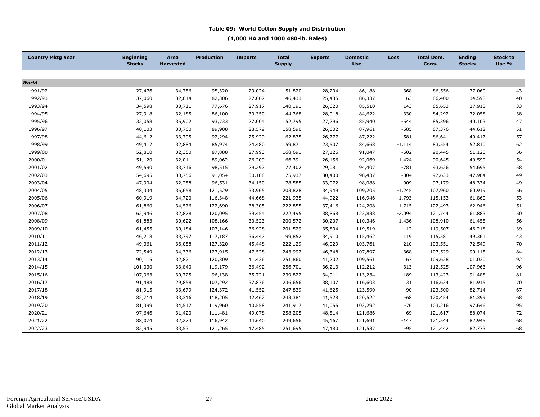#### **Table 09: World Cotton Supply and Distribution**

**(1,000 HA and 1000 480-lb. Bales)**

| <b>Country Mktg Year</b> | <b>Beginning</b><br><b>Stocks</b> | Area<br><b>Harvested</b> | <b>Production</b> | <b>Imports</b> | <b>Total</b><br><b>Supply</b> | <b>Exports</b> | <b>Domestic</b><br><b>Use</b> | Loss     | <b>Total Dom.</b><br>Cons. | <b>Ending</b><br><b>Stocks</b> | <b>Stock to</b><br>Use % |
|--------------------------|-----------------------------------|--------------------------|-------------------|----------------|-------------------------------|----------------|-------------------------------|----------|----------------------------|--------------------------------|--------------------------|
|                          |                                   |                          |                   |                |                               |                |                               |          |                            |                                |                          |
| World                    |                                   |                          |                   |                |                               |                |                               |          |                            |                                |                          |
| 1991/92                  | 27,476                            | 34,756                   | 95,320            | 29,024         | 151,820                       | 28,204         | 86,188                        | 368      | 86,556                     | 37,060                         | 43                       |
| 1992/93                  | 37,060                            | 32,614                   | 82,306            | 27,067         | 146,433                       | 25,435         | 86,337                        | 63       | 86,400                     | 34,598                         | 40                       |
| 1993/94                  | 34,598                            | 30,711                   | 77,676            | 27,917         | 140,191                       | 26,620         | 85,510                        | 143      | 85,653                     | 27,918                         | 33                       |
| 1994/95                  | 27,918                            | 32,185                   | 86,100            | 30,350         | 144,368                       | 28,018         | 84,622                        | $-330$   | 84,292                     | 32,058                         | 38                       |
| 1995/96                  | 32,058                            | 35,902                   | 93,733            | 27,004         | 152,795                       | 27,296         | 85,940                        | $-544$   | 85,396                     | 40,103                         | 47                       |
| 1996/97                  | 40,103                            | 33,760                   | 89,908            | 28,579         | 158,590                       | 26,602         | 87,961                        | $-585$   | 87,376                     | 44,612                         | 51                       |
| 1997/98                  | 44,612                            | 33,795                   | 92,294            | 25,929         | 162,835                       | 26,777         | 87,222                        | $-581$   | 86,641                     | 49,417                         | 57                       |
| 1998/99                  | 49,417                            | 32,884                   | 85,974            | 24,480         | 159,871                       | 23,507         | 84,668                        | $-1,114$ | 83,554                     | 52,810                         | 62                       |
| 1999/00                  | 52,810                            | 32,350                   | 87,888            | 27,993         | 168,691                       | 27,126         | 91,047                        | $-602$   | 90,445                     | 51,120                         | 56                       |
| 2000/01                  | 51,120                            | 32,011                   | 89,062            | 26,209         | 166,391                       | 26,156         | 92,069                        | $-1,424$ | 90,645                     | 49,590                         | 54                       |
| 2001/02                  | 49,590                            | 33,716                   | 98,515            | 29,297         | 177,402                       | 29,081         | 94,407                        | $-781$   | 93,626                     | 54,695                         | 58                       |
| 2002/03                  | 54,695                            | 30,756                   | 91,054            | 30,188         | 175,937                       | 30,400         | 98,437                        | $-804$   | 97,633                     | 47,904                         | 49                       |
| 2003/04                  | 47,904                            | 32,258                   | 96,531            | 34,150         | 178,585                       | 33,072         | 98,088                        | $-909$   | 97,179                     | 48,334                         | 49                       |
| 2004/05                  | 48,334                            | 35,658                   | 121,529           | 33,965         | 203,828                       | 34,949         | 109,205                       | $-1,245$ | 107,960                    | 60,919                         | 56                       |
| 2005/06                  | 60,919                            | 34,720                   | 116,348           | 44,668         | 221,935                       | 44,922         | 116,946                       | $-1,793$ | 115,153                    | 61,860                         | 53                       |
| 2006/07                  | 61,860                            | 34,576                   | 122,690           | 38,305         | 222,855                       | 37,416         | 124,208                       | $-1,715$ | 122,493                    | 62,946                         | 51                       |
| 2007/08                  | 62,946                            | 32,878                   | 120,095           | 39,454         | 222,495                       | 38,868         | 123,838                       | $-2,094$ | 121,744                    | 61,883                         | 50                       |
| 2008/09                  | 61,883                            | 30,622                   | 108,166           | 30,523         | 200,572                       | 30,207         | 110,346                       | $-1,436$ | 108,910                    | 61,455                         | 56                       |
| 2009/10                  | 61,455                            | 30,184                   | 103,146           | 36,928         | 201,529                       | 35,804         | 119,519                       | $-12$    | 119,507                    | 46,218                         | 39                       |
| 2010/11                  | 46,218                            | 33,797                   | 117,187           | 36,447         | 199,852                       | 34,910         | 115,462                       | 119      | 115,581                    | 49,361                         | 43                       |
| 2011/12                  | 49,361                            | 36,058                   | 127,320           | 45,448         | 222,129                       | 46,029         | 103,761                       | $-210$   | 103,551                    | 72,549                         | 70                       |
| 2012/13                  | 72,549                            | 34,336                   | 123,915           | 47,528         | 243,992                       | 46,348         | 107,897                       | $-368$   | 107,529                    | 90,115                         | 84                       |
| 2013/14                  | 90,115                            | 32,821                   | 120,309           | 41,436         | 251,860                       | 41,202         | 109,561                       | 67       | 109,628                    | 101,030                        | 92                       |
| 2014/15                  | 101,030                           | 33,840                   | 119,179           | 36,492         | 256,701                       | 36,213         | 112,212                       | 313      | 112,525                    | 107,963                        | 96                       |
| 2015/16                  | 107,963                           | 30,725                   | 96,138            | 35,721         | 239,822                       | 34,911         | 113,234                       | 189      | 113,423                    | 91,488                         | 81                       |
| 2016/17                  | 91,488                            | 29,858                   | 107,292           | 37,876         | 236,656                       | 38,107         | 116,603                       | 31       | 116,634                    | 81,915                         | 70                       |
| 2017/18                  | 81,915                            | 33,679                   | 124,372           | 41,552         | 247,839                       | 41,625         | 123,590                       | $-90$    | 123,500                    | 82,714                         | 67                       |
| 2018/19                  | 82,714                            | 33,316                   | 118,205           | 42,462         | 243,381                       | 41,528         | 120,522                       | $-68$    | 120,454                    | 81,399                         | 68                       |
| 2019/20                  | 81,399                            | 34,517                   | 119,960           | 40,558         | 241,917                       | 41,055         | 103,292                       | $-76$    | 103,216                    | 97,646                         | 95                       |
| 2020/21                  | 97,646                            | 31,420                   | 111,481           | 49,078         | 258,205                       | 48,514         | 121,686                       | $-69$    | 121,617                    | 88,074                         | 72                       |
| 2021/22                  | 88,074                            | 32,274                   | 116,942           | 44,640         | 249,656                       | 45,167         | 121,691                       | $-147$   | 121,544                    | 82,945                         | 68                       |
| 2022/23                  | 82,945                            | 33,531                   | 121,265           | 47,485         | 251,695                       | 47,480         | 121,537                       | $-95$    | 121,442                    | 82,773                         | 68                       |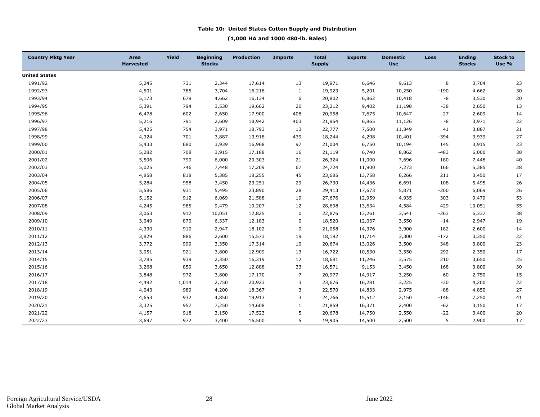#### **Table 10: United States Cotton Supply and Distribution**

#### **(1,000 HA and 1000 480-lb. Bales)**

| <b>Country Mktg Year</b> | Area<br><b>Harvested</b> | Yield | <b>Beginning</b><br><b>Stocks</b> | <b>Production</b> | <b>Imports</b> | <b>Total</b><br><b>Supply</b> | <b>Exports</b> | <b>Domestic</b><br><b>Use</b> | <b>Loss</b> | <b>Ending</b><br><b>Stocks</b> | <b>Stock to</b><br>Use % |
|--------------------------|--------------------------|-------|-----------------------------------|-------------------|----------------|-------------------------------|----------------|-------------------------------|-------------|--------------------------------|--------------------------|
| <b>United States</b>     |                          |       |                                   |                   |                |                               |                |                               |             |                                |                          |
| 1991/92                  | 5,245                    | 731   | 2,344                             | 17,614            | 13             | 19,971                        | 6,646          | 9,613                         | 8           | 3,704                          | 23                       |
| 1992/93                  | 4,501                    | 785   | 3,704                             | 16,218            | 1              | 19,923                        | 5,201          | 10,250                        | $-190$      | 4,662                          | 30                       |
| 1993/94                  | 5,173                    | 679   | 4,662                             | 16,134            | 6              | 20,802                        | 6,862          | 10,418                        | -8          | 3,530                          | 20                       |
| 1994/95                  | 5,391                    | 794   | 3,530                             | 19,662            | 20             | 23,212                        | 9,402          | 11,198                        | $-38$       | 2,650                          | 13                       |
| 1995/96                  | 6,478                    | 602   | 2,650                             | 17,900            | 408            | 20,958                        | 7,675          | 10,647                        | 27          | 2,609                          | 14                       |
| 1996/97                  | 5,216                    | 791   | 2,609                             | 18,942            | 403            | 21,954                        | 6,865          | 11,126                        | -8          | 3,971                          | 22                       |
| 1997/98                  | 5,425                    | 754   | 3,971                             | 18,793            | 13             | 22,777                        | 7,500          | 11,349                        | 41          | 3,887                          | 21                       |
| 1998/99                  | 4,324                    | 701   | 3,887                             | 13,918            | 439            | 18,244                        | 4,298          | 10,401                        | $-394$      | 3,939                          | 27                       |
| 1999/00                  | 5,433                    | 680   | 3,939                             | 16,968            | 97             | 21,004                        | 6,750          | 10,194                        | 145         | 3,915                          | 23                       |
| 2000/01                  | 5,282                    | 708   | 3,915                             | 17,188            | 16             | 21,119                        | 6,740          | 8,862                         | $-483$      | 6,000                          | 38                       |
| 2001/02                  | 5,596                    | 790   | 6,000                             | 20,303            | 21             | 26,324                        | 11,000         | 7,696                         | 180         | 7,448                          | 40                       |
| 2002/03                  | 5,025                    | 746   | 7,448                             | 17,209            | 67             | 24,724                        | 11,900         | 7,273                         | 166         | 5,385                          | 28                       |
| 2003/04                  | 4,858                    | 818   | 5,385                             | 18,255            | 45             | 23,685                        | 13,758         | 6,266                         | 211         | 3,450                          | 17                       |
| 2004/05                  | 5,284                    | 958   | 3,450                             | 23,251            | 29             | 26,730                        | 14,436         | 6,691                         | 108         | 5,495                          | 26                       |
| 2005/06                  | 5,586                    | 931   | 5,495                             | 23,890            | 28             | 29,413                        | 17,673         | 5,871                         | $-200$      | 6,069                          | 26                       |
| 2006/07                  | 5,152                    | 912   | 6,069                             | 21,588            | 19             | 27,676                        | 12,959         | 4,935                         | 303         | 9,479                          | 53                       |
| 2007/08                  | 4,245                    | 985   | 9,479                             | 19,207            | 12             | 28,698                        | 13,634         | 4,584                         | 429         | 10,051                         | 55                       |
| 2008/09                  | 3,063                    | 912   | 10,051                            | 12,825            | 0              | 22,876                        | 13,261         | 3,541                         | $-263$      | 6,337                          | 38                       |
| 2009/10                  | 3,049                    | 870   | 6,337                             | 12,183            | $\mathbf 0$    | 18,520                        | 12,037         | 3,550                         | $-14$       | 2,947                          | 19                       |
| 2010/11                  | 4,330                    | 910   | 2,947                             | 18,102            | 9              | 21,058                        | 14,376         | 3,900                         | 182         | 2,600                          | 14                       |
| 2011/12                  | 3,829                    | 886   | 2,600                             | 15,573            | 19             | 18,192                        | 11,714         | 3,300                         | $-172$      | 3,350                          | 22                       |
| 2012/13                  | 3,772                    | 999   | 3,350                             | 17,314            | 10             | 20,674                        | 13,026         | 3,500                         | 348         | 3,800                          | 23                       |
| 2013/14                  | 3,051                    | 921   | 3,800                             | 12,909            | 13             | 16,722                        | 10,530         | 3,550                         | 292         | 2,350                          | 17                       |
| 2014/15                  | 3,785                    | 939   | 2,350                             | 16,319            | 12             | 18,681                        | 11,246         | 3,575                         | 210         | 3,650                          | 25                       |
| 2015/16                  | 3,268                    | 859   | 3,650                             | 12,888            | 33             | 16,571                        | 9,153          | 3,450                         | 168         | 3,800                          | 30                       |
| 2016/17                  | 3,848                    | 972   | 3,800                             | 17,170            | $\overline{7}$ | 20,977                        | 14,917         | 3,250                         | 60          | 2,750                          | 15                       |
| 2017/18                  | 4,492                    | 1,014 | 2,750                             | 20,923            | 3              | 23,676                        | 16,281         | 3,225                         | $-30$       | 4,200                          | $22\,$                   |
| 2018/19                  | 4,043                    | 989   | 4,200                             | 18,367            | 3              | 22,570                        | 14,833         | 2,975                         | $-88$       | 4,850                          | 27                       |
| 2019/20                  | 4,653                    | 932   | 4,850                             | 19,913            | 3              | 24,766                        | 15,512         | 2,150                         | $-146$      | 7,250                          | 41                       |
| 2020/21                  | 3,325                    | 957   | 7,250                             | 14,608            | $\mathbf{1}$   | 21,859                        | 16,371         | 2,400                         | $-62$       | 3,150                          | 17                       |
| 2021/22                  | 4,157                    | 918   | 3,150                             | 17,523            | 5              | 20,678                        | 14,750         | 2,550                         | $-22$       | 3,400                          | 20                       |
| 2022/23                  | 3,697                    | 972   | 3,400                             | 16,500            | 5              | 19,905                        | 14,500         | 2,500                         | 5           | 2,900                          | 17                       |